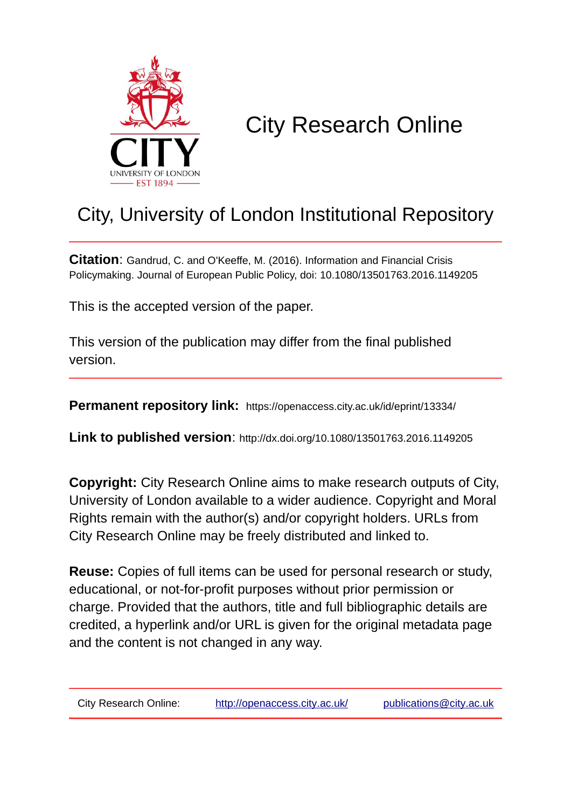

# City Research Online

## City, University of London Institutional Repository

**Citation**: Gandrud, C. and O'Keeffe, M. (2016). Information and Financial Crisis Policymaking. Journal of European Public Policy, doi: 10.1080/13501763.2016.1149205

This is the accepted version of the paper.

This version of the publication may differ from the final published version.

**Permanent repository link:** https://openaccess.city.ac.uk/id/eprint/13334/

**Link to published version**: http://dx.doi.org/10.1080/13501763.2016.1149205

**Copyright:** City Research Online aims to make research outputs of City, University of London available to a wider audience. Copyright and Moral Rights remain with the author(s) and/or copyright holders. URLs from City Research Online may be freely distributed and linked to.

**Reuse:** Copies of full items can be used for personal research or study, educational, or not-for-profit purposes without prior permission or charge. Provided that the authors, title and full bibliographic details are credited, a hyperlink and/or URL is given for the original metadata page and the content is not changed in any way.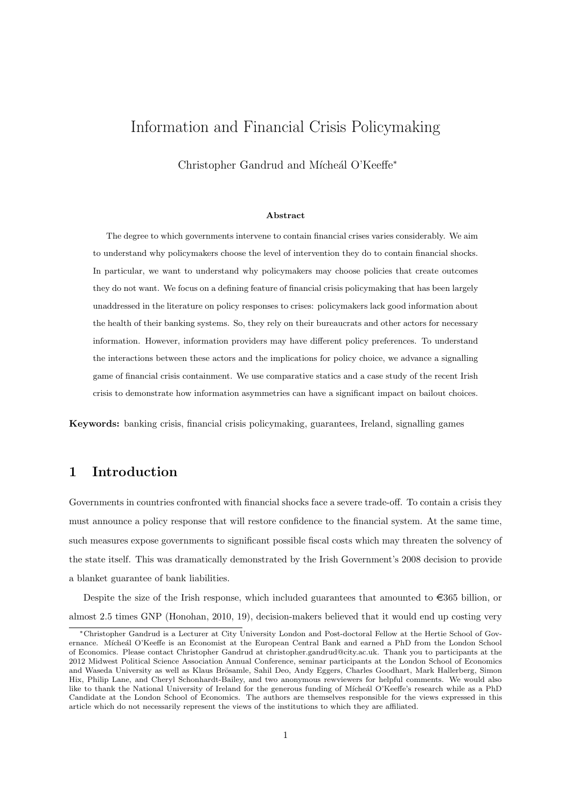### Information and Financial Crisis Policymaking

Christopher Gandrud and Mícheál O'Keeffe<sup>\*</sup>

#### Abstract

The degree to which governments intervene to contain financial crises varies considerably. We aim to understand why policymakers choose the level of intervention they do to contain financial shocks. In particular, we want to understand why policymakers may choose policies that create outcomes they do not want. We focus on a defining feature of financial crisis policymaking that has been largely unaddressed in the literature on policy responses to crises: policymakers lack good information about the health of their banking systems. So, they rely on their bureaucrats and other actors for necessary information. However, information providers may have different policy preferences. To understand the interactions between these actors and the implications for policy choice, we advance a signalling game of financial crisis containment. We use comparative statics and a case study of the recent Irish crisis to demonstrate how information asymmetries can have a significant impact on bailout choices.

Keywords: banking crisis, financial crisis policymaking, guarantees, Ireland, signalling games

#### 1 Introduction

Governments in countries confronted with financial shocks face a severe trade-off. To contain a crisis they must announce a policy response that will restore confidence to the financial system. At the same time, such measures expose governments to significant possible fiscal costs which may threaten the solvency of the state itself. This was dramatically demonstrated by the Irish Government's 2008 decision to provide a blanket guarantee of bank liabilities.

Despite the size of the Irish response, which included guarantees that amounted to  $\in$ 365 billion, or almost 2.5 times GNP (Honohan, 2010, 19), decision-makers believed that it would end up costing very

<sup>⇤</sup>Christopher Gandrud is a Lecturer at City University London and Post-doctoral Fellow at the Hertie School of Governance. Mícheál O'Keeffe is an Economist at the European Central Bank and earned a PhD from the London School of Economics. Please contact Christopher Gandrud at christopher.gandrud@city.ac.uk. Thank you to participants at the 2012 Midwest Political Science Association Annual Conference, seminar participants at the London School of Economics and Waseda University as well as Klaus Brösamle, Sahil Deo, Andy Eggers, Charles Goodhart, Mark Hallerberg, Simon Hix, Philip Lane, and Cheryl Schonhardt-Bailey, and two anonymous rewviewers for helpful comments. We would also like to thank the National University of Ireland for the generous funding of Mícheál O'Keeffe's research while as a PhD Candidate at the London School of Economics. The authors are themselves responsible for the views expressed in this article which do not necessarily represent the views of the institutions to which they are affiliated.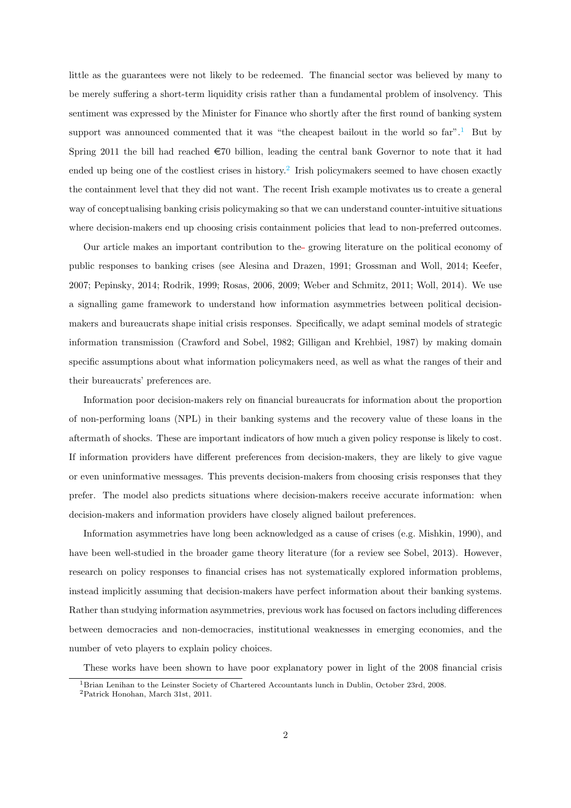little as the guarantees were not likely to be redeemed. The financial sector was believed by many to be merely suffering a short-term liquidity crisis rather than a fundamental problem of insolvency. This sentiment was expressed by the Minister for Finance who shortly after the first round of banking system support was announced commented that it was "the cheapest bailout in the world so  $far$ ".<sup>1</sup> But by Spring 2011 the bill had reached  $\epsilon$ 70 billion, leading the central bank Governor to note that it had ended up being one of the costliest crises in history.<sup>2</sup> Irish policymakers seemed to have chosen exactly the containment level that they did not want. The recent Irish example motivates us to create a general way of conceptualising banking crisis policymaking so that we can understand counter-intuitive situations where decision-makers end up choosing crisis containment policies that lead to non-preferred outcomes.

Our article makes an important contribution to the growing literature on the political economy of public responses to banking crises (see Alesina and Drazen, 1991; Grossman and Woll, 2014; Keefer, 2007; Pepinsky, 2014; Rodrik, 1999; Rosas, 2006, 2009; Weber and Schmitz, 2011; Woll, 2014). We use a signalling game framework to understand how information asymmetries between political decisionmakers and bureaucrats shape initial crisis responses. Specifically, we adapt seminal models of strategic information transmission (Crawford and Sobel, 1982; Gilligan and Krehbiel, 1987) by making domain specific assumptions about what information policymakers need, as well as what the ranges of their and their bureaucrats' preferences are.

Information poor decision-makers rely on financial bureaucrats for information about the proportion of non-performing loans (NPL) in their banking systems and the recovery value of these loans in the aftermath of shocks. These are important indicators of how much a given policy response is likely to cost. If information providers have different preferences from decision-makers, they are likely to give vague or even uninformative messages. This prevents decision-makers from choosing crisis responses that they prefer. The model also predicts situations where decision-makers receive accurate information: when decision-makers and information providers have closely aligned bailout preferences.

Information asymmetries have long been acknowledged as a cause of crises (e.g. Mishkin, 1990), and have been well-studied in the broader game theory literature (for a review see Sobel, 2013). However, research on policy responses to financial crises has not systematically explored information problems, instead implicitly assuming that decision-makers have perfect information about their banking systems. Rather than studying information asymmetries, previous work has focused on factors including differences between democracies and non-democracies, institutional weaknesses in emerging economies, and the number of veto players to explain policy choices.

These works have been shown to have poor explanatory power in light of the 2008 financial crisis

<sup>1</sup>Brian Lenihan to the Leinster Society of Chartered Accountants lunch in Dublin, October 23rd, 2008.

<sup>2</sup>Patrick Honohan, March 31st, 2011.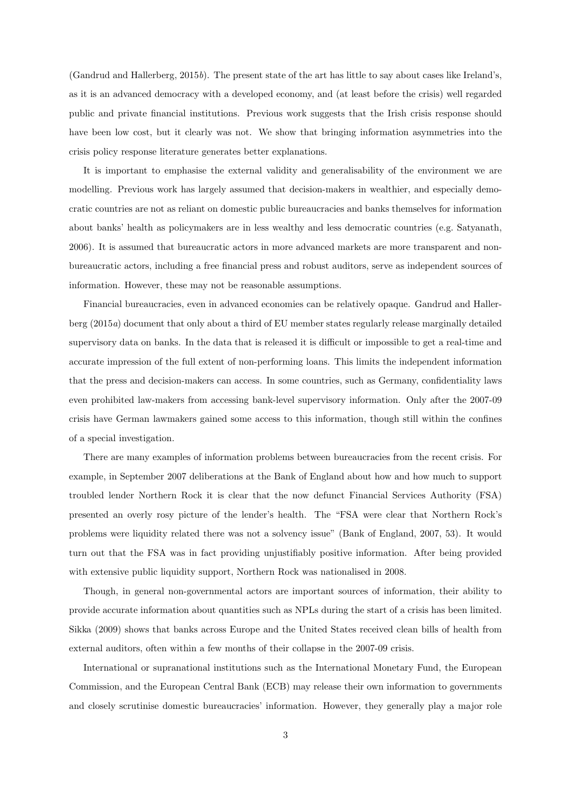(Gandrud and Hallerberg, 2015*b*). The present state of the art has little to say about cases like Ireland's, as it is an advanced democracy with a developed economy, and (at least before the crisis) well regarded public and private financial institutions. Previous work suggests that the Irish crisis response should have been low cost, but it clearly was not. We show that bringing information asymmetries into the crisis policy response literature generates better explanations.

It is important to emphasise the external validity and generalisability of the environment we are modelling. Previous work has largely assumed that decision-makers in wealthier, and especially democratic countries are not as reliant on domestic public bureaucracies and banks themselves for information about banks' health as policymakers are in less wealthy and less democratic countries (e.g. Satyanath, 2006). It is assumed that bureaucratic actors in more advanced markets are more transparent and nonbureaucratic actors, including a free financial press and robust auditors, serve as independent sources of information. However, these may not be reasonable assumptions.

Financial bureaucracies, even in advanced economies can be relatively opaque. Gandrud and Hallerberg (2015*a*) document that only about a third of EU member states regularly release marginally detailed supervisory data on banks. In the data that is released it is difficult or impossible to get a real-time and accurate impression of the full extent of non-performing loans. This limits the independent information that the press and decision-makers can access. In some countries, such as Germany, confidentiality laws even prohibited law-makers from accessing bank-level supervisory information. Only after the 2007-09 crisis have German lawmakers gained some access to this information, though still within the confines of a special investigation.

There are many examples of information problems between bureaucracies from the recent crisis. For example, in September 2007 deliberations at the Bank of England about how and how much to support troubled lender Northern Rock it is clear that the now defunct Financial Services Authority (FSA) presented an overly rosy picture of the lender's health. The "FSA were clear that Northern Rock's problems were liquidity related there was not a solvency issue" (Bank of England, 2007, 53). It would turn out that the FSA was in fact providing unjustifiably positive information. After being provided with extensive public liquidity support, Northern Rock was nationalised in 2008.

Though, in general non-governmental actors are important sources of information, their ability to provide accurate information about quantities such as NPLs during the start of a crisis has been limited. Sikka (2009) shows that banks across Europe and the United States received clean bills of health from external auditors, often within a few months of their collapse in the 2007-09 crisis.

International or supranational institutions such as the International Monetary Fund, the European Commission, and the European Central Bank (ECB) may release their own information to governments and closely scrutinise domestic bureaucracies' information. However, they generally play a major role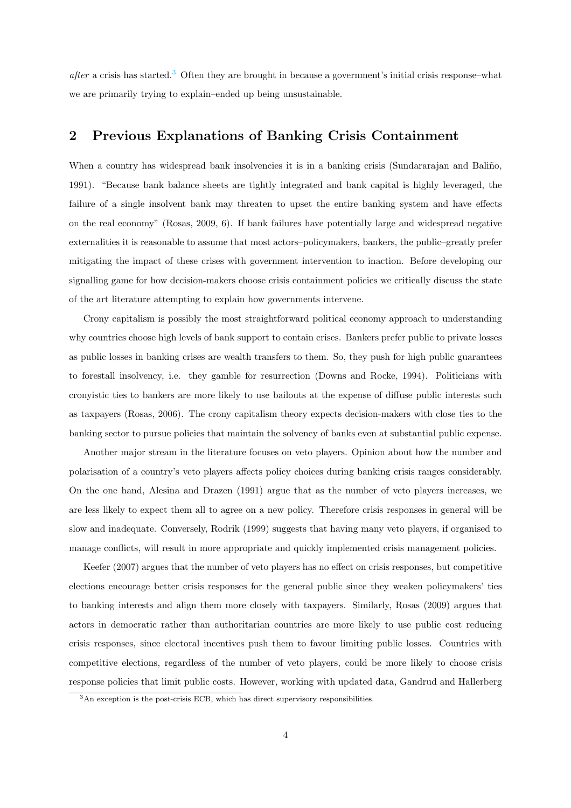*after* a crisis has started.<sup>3</sup> Often they are brought in because a government's initial crisis response–what we are primarily trying to explain–ended up being unsustainable.

#### 2 Previous Explanations of Banking Crisis Containment

When a country has widespread bank insolvencies it is in a banking crisis (Sundararajan and Baliño, 1991). "Because bank balance sheets are tightly integrated and bank capital is highly leveraged, the failure of a single insolvent bank may threaten to upset the entire banking system and have effects on the real economy" (Rosas, 2009, 6). If bank failures have potentially large and widespread negative externalities it is reasonable to assume that most actors–policymakers, bankers, the public–greatly prefer mitigating the impact of these crises with government intervention to inaction. Before developing our signalling game for how decision-makers choose crisis containment policies we critically discuss the state of the art literature attempting to explain how governments intervene.

Crony capitalism is possibly the most straightforward political economy approach to understanding why countries choose high levels of bank support to contain crises. Bankers prefer public to private losses as public losses in banking crises are wealth transfers to them. So, they push for high public guarantees to forestall insolvency, i.e. they gamble for resurrection (Downs and Rocke, 1994). Politicians with cronyistic ties to bankers are more likely to use bailouts at the expense of diffuse public interests such as taxpayers (Rosas, 2006). The crony capitalism theory expects decision-makers with close ties to the banking sector to pursue policies that maintain the solvency of banks even at substantial public expense.

Another major stream in the literature focuses on veto players. Opinion about how the number and polarisation of a country's veto players affects policy choices during banking crisis ranges considerably. On the one hand, Alesina and Drazen (1991) argue that as the number of veto players increases, we are less likely to expect them all to agree on a new policy. Therefore crisis responses in general will be slow and inadequate. Conversely, Rodrik (1999) suggests that having many veto players, if organised to manage conflicts, will result in more appropriate and quickly implemented crisis management policies.

Keefer (2007) argues that the number of veto players has no effect on crisis responses, but competitive elections encourage better crisis responses for the general public since they weaken policymakers' ties to banking interests and align them more closely with taxpayers. Similarly, Rosas (2009) argues that actors in democratic rather than authoritarian countries are more likely to use public cost reducing crisis responses, since electoral incentives push them to favour limiting public losses. Countries with competitive elections, regardless of the number of veto players, could be more likely to choose crisis response policies that limit public costs. However, working with updated data, Gandrud and Hallerberg

<sup>3</sup>An exception is the post-crisis ECB, which has direct supervisory responsibilities.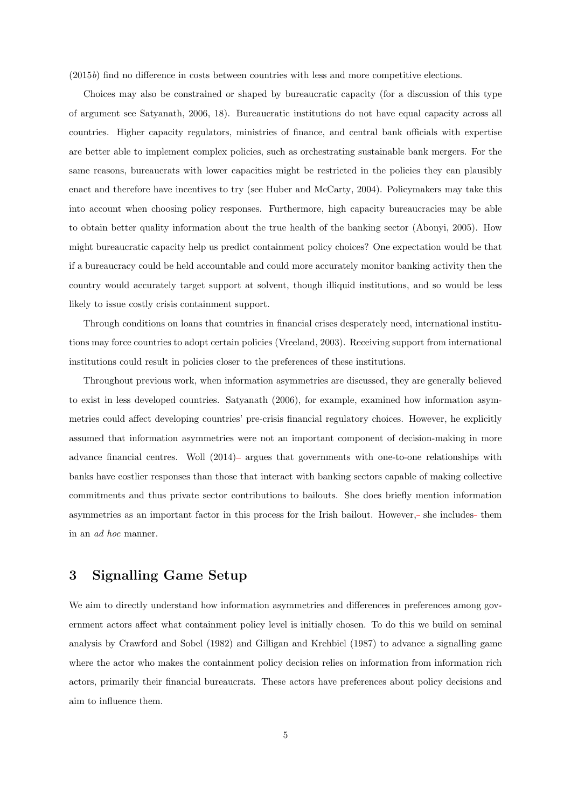$(2015b)$  find no difference in costs between countries with less and more competitive elections.

Choices may also be constrained or shaped by bureaucratic capacity (for a discussion of this type of argument see Satyanath, 2006, 18). Bureaucratic institutions do not have equal capacity across all countries. Higher capacity regulators, ministries of finance, and central bank officials with expertise are better able to implement complex policies, such as orchestrating sustainable bank mergers. For the same reasons, bureaucrats with lower capacities might be restricted in the policies they can plausibly enact and therefore have incentives to try (see Huber and McCarty, 2004). Policymakers may take this into account when choosing policy responses. Furthermore, high capacity bureaucracies may be able to obtain better quality information about the true health of the banking sector (Abonyi, 2005). How might bureaucratic capacity help us predict containment policy choices? One expectation would be that if a bureaucracy could be held accountable and could more accurately monitor banking activity then the country would accurately target support at solvent, though illiquid institutions, and so would be less likely to issue costly crisis containment support.

Through conditions on loans that countries in financial crises desperately need, international institutions may force countries to adopt certain policies (Vreeland, 2003). Receiving support from international institutions could result in policies closer to the preferences of these institutions.

Throughout previous work, when information asymmetries are discussed, they are generally believed to exist in less developed countries. Satyanath (2006), for example, examined how information asymmetries could affect developing countries' pre-crisis financial regulatory choices. However, he explicitly assumed that information asymmetries were not an important component of decision-making in more advance financial centres. Woll (2014) argues that governments with one-to-one relationships with banks have costlier responses than those that interact with banking sectors capable of making collective commitments and thus private sector contributions to bailouts. She does briefly mention information asymmetries as an important factor in this process for the Irish bailout. However,- she includes- them in an *ad hoc* manner.

#### 3 Signalling Game Setup

We aim to directly understand how information asymmetries and differences in preferences among government actors affect what containment policy level is initially chosen. To do this we build on seminal analysis by Crawford and Sobel (1982) and Gilligan and Krehbiel (1987) to advance a signalling game where the actor who makes the containment policy decision relies on information from information rich actors, primarily their financial bureaucrats. These actors have preferences about policy decisions and aim to influence them.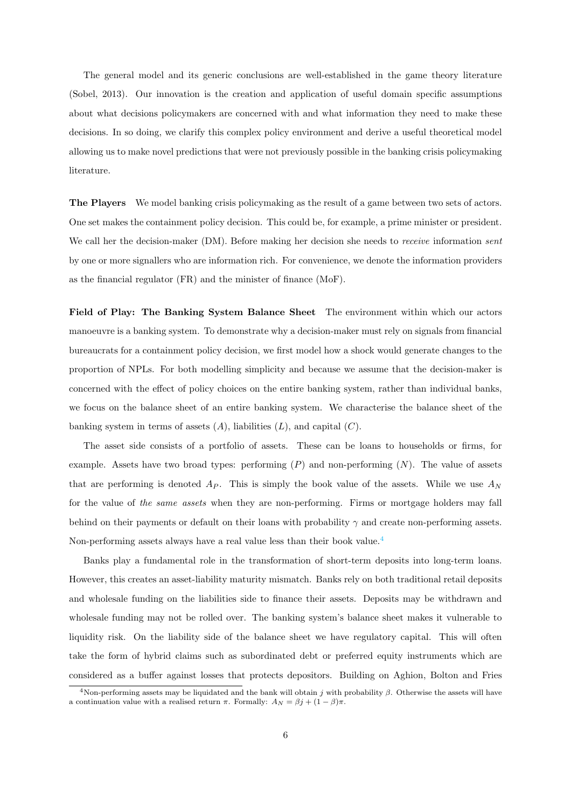The general model and its generic conclusions are well-established in the game theory literature (Sobel, 2013). Our innovation is the creation and application of useful domain specific assumptions about what decisions policymakers are concerned with and what information they need to make these decisions. In so doing, we clarify this complex policy environment and derive a useful theoretical model allowing us to make novel predictions that were not previously possible in the banking crisis policymaking literature.

The Players We model banking crisis policymaking as the result of a game between two sets of actors. One set makes the containment policy decision. This could be, for example, a prime minister or president. We call her the decision-maker (DM). Before making her decision she needs to *receive* information *sent* by one or more signallers who are information rich. For convenience, we denote the information providers as the financial regulator (FR) and the minister of finance (MoF).

Field of Play: The Banking System Balance Sheet The environment within which our actors manoeuvre is a banking system. To demonstrate why a decision-maker must rely on signals from financial bureaucrats for a containment policy decision, we first model how a shock would generate changes to the proportion of NPLs. For both modelling simplicity and because we assume that the decision-maker is concerned with the effect of policy choices on the entire banking system, rather than individual banks, we focus on the balance sheet of an entire banking system. We characterise the balance sheet of the banking system in terms of assets  $(A)$ , liabilities  $(L)$ , and capital  $(C)$ .

The asset side consists of a portfolio of assets. These can be loans to households or firms, for example. Assets have two broad types: performing (*P*) and non-performing (*N*). The value of assets that are performing is denoted  $A_P$ . This is simply the book value of the assets. While we use  $A_N$ for the value of *the same assets* when they are non-performing. Firms or mortgage holders may fall behind on their payments or default on their loans with probability  $\gamma$  and create non-performing assets. Non-performing assets always have a real value less than their book value.<sup>4</sup>

Banks play a fundamental role in the transformation of short-term deposits into long-term loans. However, this creates an asset-liability maturity mismatch. Banks rely on both traditional retail deposits and wholesale funding on the liabilities side to finance their assets. Deposits may be withdrawn and wholesale funding may not be rolled over. The banking system's balance sheet makes it vulnerable to liquidity risk. On the liability side of the balance sheet we have regulatory capital. This will often take the form of hybrid claims such as subordinated debt or preferred equity instruments which are considered as a buffer against losses that protects depositors. Building on Aghion, Bolton and Fries

<sup>&</sup>lt;sup>4</sup>Non-performing assets may be liquidated and the bank will obtain  $j$  with probability  $\beta$ . Otherwise the assets will have a continuation value with a realised return  $\pi$ . Formally:  $A_N = \beta j + (1 - \beta)\pi$ .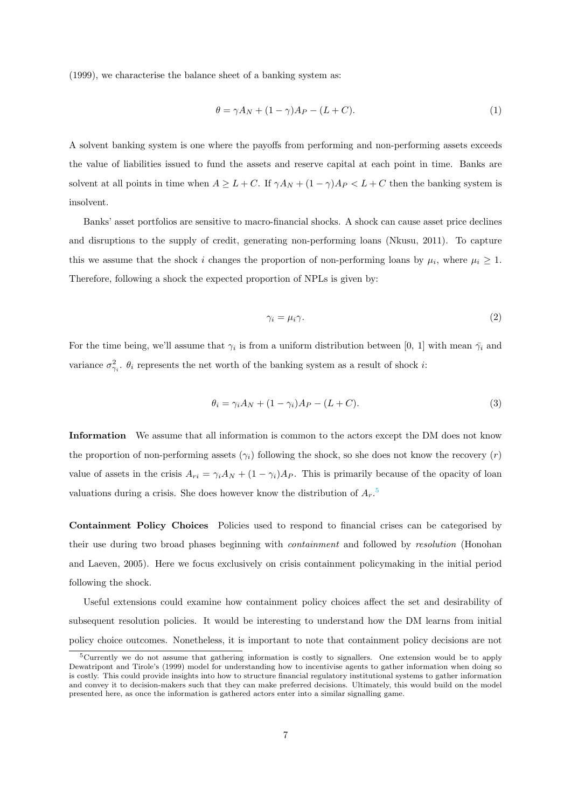(1999), we characterise the balance sheet of a banking system as:

$$
\theta = \gamma A_N + (1 - \gamma)A_P - (L + C). \tag{1}
$$

A solvent banking system is one where the payoffs from performing and non-performing assets exceeds the value of liabilities issued to fund the assets and reserve capital at each point in time. Banks are solvent at all points in time when  $A \geq L + C$ . If  $\gamma A_N + (1 - \gamma)A_P < L + C$  then the banking system is insolvent.

Banks' asset portfolios are sensitive to macro-financial shocks. A shock can cause asset price declines and disruptions to the supply of credit, generating non-performing loans (Nkusu, 2011). To capture this we assume that the shock *i* changes the proportion of non-performing loans by  $\mu_i$ , where  $\mu_i \geq 1$ . Therefore, following a shock the expected proportion of NPLs is given by:

$$
\gamma_i = \mu_i \gamma. \tag{2}
$$

For the time being, we'll assume that  $\gamma_i$  is from a uniform distribution between [0, 1] with mean  $\bar{\gamma}_i$  and variance  $\sigma_{\gamma_i}^2$ .  $\theta_i$  represents the net worth of the banking system as a result of shock *i*:

$$
\theta_i = \gamma_i A_N + (1 - \gamma_i) A_P - (L + C). \tag{3}
$$

Information We assume that all information is common to the actors except the DM does not know the proportion of non-performing assets  $(\gamma_i)$  following the shock, so she does not know the recovery  $(r)$ value of assets in the crisis  $A_{ri} = \gamma_i A_N + (1 - \gamma_i) A_P$ . This is primarily because of the opacity of loan valuations during a crisis. She does however know the distribution of *Ar*. 5

Containment Policy Choices Policies used to respond to financial crises can be categorised by their use during two broad phases beginning with *containment* and followed by *resolution* (Honohan and Laeven, 2005). Here we focus exclusively on crisis containment policymaking in the initial period following the shock.

Useful extensions could examine how containment policy choices affect the set and desirability of subsequent resolution policies. It would be interesting to understand how the DM learns from initial policy choice outcomes. Nonetheless, it is important to note that containment policy decisions are not

<sup>5</sup>Currently we do not assume that gathering information is costly to signallers. One extension would be to apply Dewatripont and Tirole's (1999) model for understanding how to incentivise agents to gather information when doing so is costly. This could provide insights into how to structure financial regulatory institutional systems to gather information and convey it to decision-makers such that they can make preferred decisions. Ultimately, this would build on the model presented here, as once the information is gathered actors enter into a similar signalling game.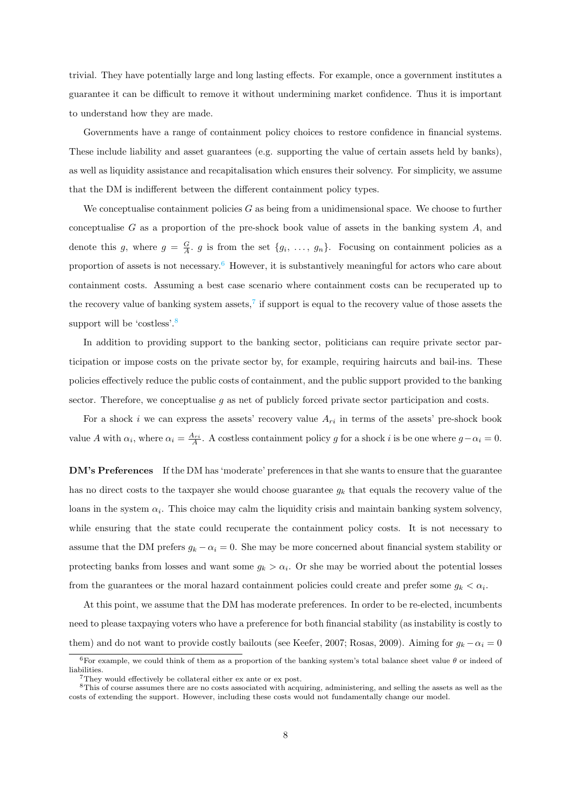trivial. They have potentially large and long lasting effects. For example, once a government institutes a guarantee it can be difficult to remove it without undermining market confidence. Thus it is important to understand how they are made.

Governments have a range of containment policy choices to restore confidence in financial systems. These include liability and asset guarantees (e.g. supporting the value of certain assets held by banks), as well as liquidity assistance and recapitalisation which ensures their solvency. For simplicity, we assume that the DM is indifferent between the different containment policy types.

We conceptualise containment policies *G* as being from a unidimensional space. We choose to further conceptualise *G* as a proportion of the pre-shock book value of assets in the banking system *A*, and denote this *g*, where  $g = \frac{G}{A}$  *g* is from the set  $\{g_i, \ldots, g_n\}$ . Focusing on containment policies as a proportion of assets is not necessary.<sup>6</sup> However, it is substantively meaningful for actors who care about containment costs. Assuming a best case scenario where containment costs can be recuperated up to the recovery value of banking system assets,<sup>7</sup> if support is equal to the recovery value of those assets the support will be 'costless'.<sup>8</sup>

In addition to providing support to the banking sector, politicians can require private sector participation or impose costs on the private sector by, for example, requiring haircuts and bail-ins. These policies effectively reduce the public costs of containment, and the public support provided to the banking sector. Therefore, we conceptualise q as net of publicly forced private sector participation and costs.

For a shock *i* we can express the assets' recovery value  $A_{ri}$  in terms of the assets' pre-shock book value *A* with  $\alpha_i$ , where  $\alpha_i = \frac{A_{ri}}{A}$ . A costless containment policy *g* for a shock *i* is be one where  $g - \alpha_i = 0$ .

DM's Preferences If the DM has 'moderate' preferences in that she wants to ensure that the guarantee has no direct costs to the taxpayer she would choose guarantee *g<sup>k</sup>* that equals the recovery value of the loans in the system  $\alpha_i$ . This choice may calm the liquidity crisis and maintain banking system solvency, while ensuring that the state could recuperate the containment policy costs. It is not necessary to assume that the DM prefers  $g_k - \alpha_i = 0$ . She may be more concerned about financial system stability or protecting banks from losses and want some  $g_k > \alpha_i$ . Or she may be worried about the potential losses from the guarantees or the moral hazard containment policies could create and prefer some  $g_k < \alpha_i$ .

At this point, we assume that the DM has moderate preferences. In order to be re-elected, incumbents need to please taxpaying voters who have a preference for both financial stability (as instability is costly to them) and do not want to provide costly bailouts (see Keefer, 2007; Rosas, 2009). Aiming for  $g_k - \alpha_i = 0$ 

 ${}^{6}$ For example, we could think of them as a proportion of the banking system's total balance sheet value  $\theta$  or indeed of liabilities.

 $7$ They would effectively be collateral either ex ante or ex post.

<sup>&</sup>lt;sup>8</sup>This of course assumes there are no costs associated with acquiring, administering, and selling the assets as well as the costs of extending the support. However, including these costs would not fundamentally change our model.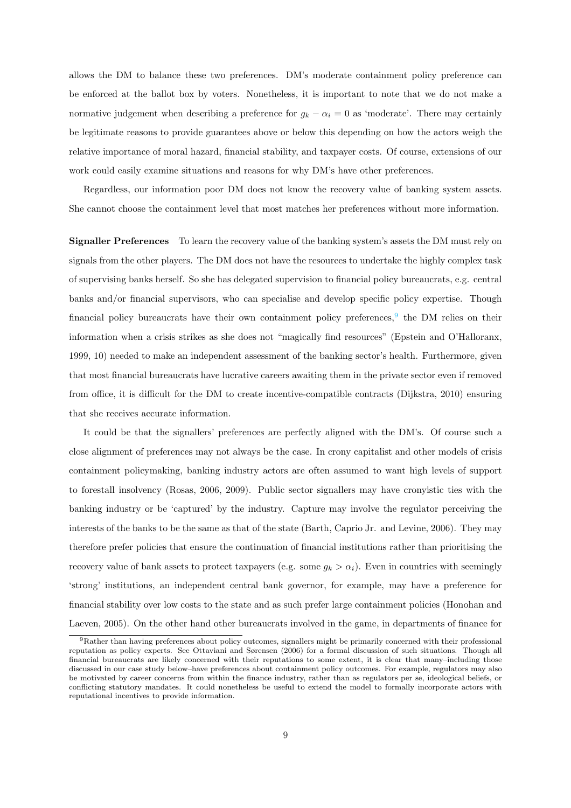allows the DM to balance these two preferences. DM's moderate containment policy preference can be enforced at the ballot box by voters. Nonetheless, it is important to note that we do not make a normative judgement when describing a preference for  $g_k - \alpha_i = 0$  as 'moderate'. There may certainly be legitimate reasons to provide guarantees above or below this depending on how the actors weigh the relative importance of moral hazard, financial stability, and taxpayer costs. Of course, extensions of our work could easily examine situations and reasons for why DM's have other preferences.

Regardless, our information poor DM does not know the recovery value of banking system assets. She cannot choose the containment level that most matches her preferences without more information.

Signaller Preferences To learn the recovery value of the banking system's assets the DM must rely on signals from the other players. The DM does not have the resources to undertake the highly complex task of supervising banks herself. So she has delegated supervision to financial policy bureaucrats, e.g. central banks and/or financial supervisors, who can specialise and develop specific policy expertise. Though financial policy bureaucrats have their own containment policy preferences, $9$  the DM relies on their information when a crisis strikes as she does not "magically find resources" (Epstein and O'Halloranx, 1999, 10) needed to make an independent assessment of the banking sector's health. Furthermore, given that most financial bureaucrats have lucrative careers awaiting them in the private sector even if removed from office, it is difficult for the DM to create incentive-compatible contracts (Dijkstra, 2010) ensuring that she receives accurate information.

It could be that the signallers' preferences are perfectly aligned with the DM's. Of course such a close alignment of preferences may not always be the case. In crony capitalist and other models of crisis containment policymaking, banking industry actors are often assumed to want high levels of support to forestall insolvency (Rosas, 2006, 2009). Public sector signallers may have cronyistic ties with the banking industry or be 'captured' by the industry. Capture may involve the regulator perceiving the interests of the banks to be the same as that of the state (Barth, Caprio Jr. and Levine, 2006). They may therefore prefer policies that ensure the continuation of financial institutions rather than prioritising the recovery value of bank assets to protect taxpayers (e.g. some  $g_k > \alpha_i$ ). Even in countries with seemingly 'strong' institutions, an independent central bank governor, for example, may have a preference for financial stability over low costs to the state and as such prefer large containment policies (Honohan and Laeven, 2005). On the other hand other bureaucrats involved in the game, in departments of finance for

<sup>9</sup>Rather than having preferences about policy outcomes, signallers might be primarily concerned with their professional reputation as policy experts. See Ottaviani and Sørensen (2006) for a formal discussion of such situations. Though all financial bureaucrats are likely concerned with their reputations to some extent, it is clear that many–including those discussed in our case study below–have preferences about containment policy outcomes. For example, regulators may also be motivated by career concerns from within the finance industry, rather than as regulators per se, ideological beliefs, or conflicting statutory mandates. It could nonetheless be useful to extend the model to formally incorporate actors with reputational incentives to provide information.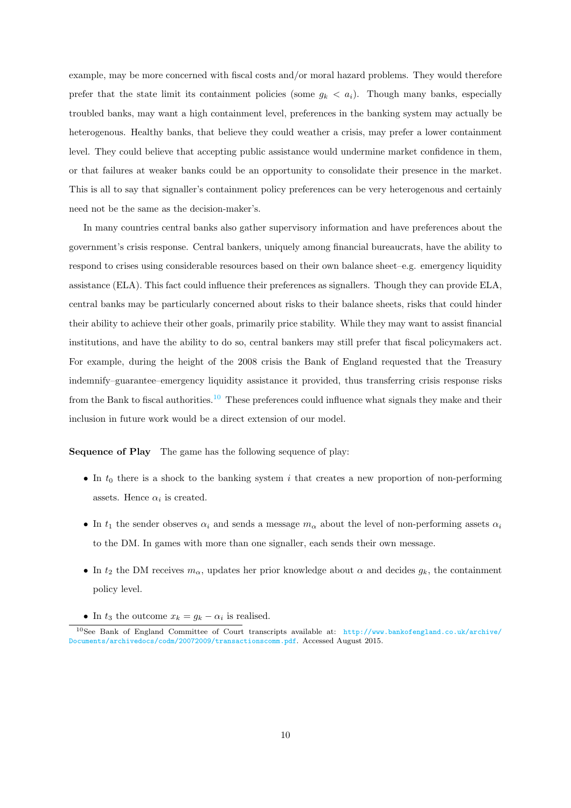example, may be more concerned with fiscal costs and/or moral hazard problems. They would therefore prefer that the state limit its containment policies (some  $g_k < a_i$ ). Though many banks, especially troubled banks, may want a high containment level, preferences in the banking system may actually be heterogenous. Healthy banks, that believe they could weather a crisis, may prefer a lower containment level. They could believe that accepting public assistance would undermine market confidence in them, or that failures at weaker banks could be an opportunity to consolidate their presence in the market. This is all to say that signaller's containment policy preferences can be very heterogenous and certainly need not be the same as the decision-maker's.

In many countries central banks also gather supervisory information and have preferences about the government's crisis response. Central bankers, uniquely among financial bureaucrats, have the ability to respond to crises using considerable resources based on their own balance sheet–e.g. emergency liquidity assistance (ELA). This fact could influence their preferences as signallers. Though they can provide ELA, central banks may be particularly concerned about risks to their balance sheets, risks that could hinder their ability to achieve their other goals, primarily price stability. While they may want to assist financial institutions, and have the ability to do so, central bankers may still prefer that fiscal policymakers act. For example, during the height of the 2008 crisis the Bank of England requested that the Treasury indemnify–guarantee–emergency liquidity assistance it provided, thus transferring crisis response risks from the Bank to fiscal authorities.<sup>10</sup> These preferences could influence what signals they make and their inclusion in future work would be a direct extension of our model.

Sequence of Play The game has the following sequence of play:

- In  $t_0$  there is a shock to the banking system *i* that creates a new proportion of non-performing assets. Hence  $\alpha_i$  is created.
- In  $t_1$  the sender observes  $\alpha_i$  and sends a message  $m_\alpha$  about the level of non-performing assets  $\alpha_i$ to the DM. In games with more than one signaller, each sends their own message.
- In  $t_2$  the DM receives  $m_\alpha$ , updates her prior knowledge about  $\alpha$  and decides  $g_k$ , the containment policy level.
- In  $t_3$  the outcome  $x_k = g_k \alpha_i$  is realised.

<sup>10</sup>See Bank of England Committee of Court transcripts available at: http://www.bankofengland.co.uk/archive/ Documents/archivedocs/codm/20072009/transactionscomm.pdf. Accessed August 2015.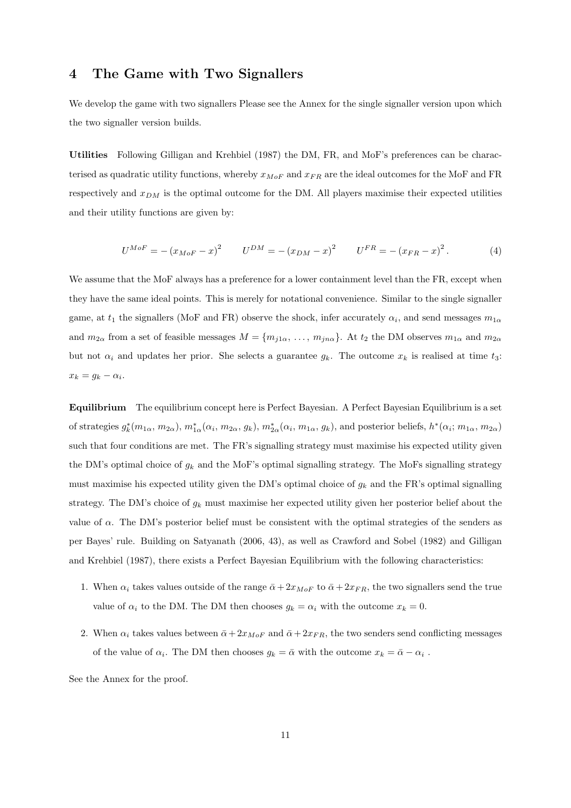#### 4 The Game with Two Signallers

We develop the game with two signallers Please see the Annex for the single signaller version upon which the two signaller version builds.

Utilities Following Gilligan and Krehbiel (1987) the DM, FR, and MoF's preferences can be characterised as quadratic utility functions, whereby *xMoF* and *xF R* are the ideal outcomes for the MoF and FR respectively and *xDM* is the optimal outcome for the DM. All players maximise their expected utilities and their utility functions are given by:

$$
U^{MoF} = -(x_{MoF} - x)^{2} \tU^{DM} = -(x_{DM} - x)^{2} \tU^{FR} = -(x_{FR} - x)^{2}.
$$
 (4)

We assume that the MoF always has a preference for a lower containment level than the FR, except when they have the same ideal points. This is merely for notational convenience. Similar to the single signaller game, at  $t_1$  the signallers (MoF and FR) observe the shock, infer accurately  $\alpha_i$ , and send messages  $m_{1\alpha}$ and  $m_{2\alpha}$  from a set of feasible messages  $M = \{m_{j1\alpha}, \ldots, m_{jn\alpha}\}$ . At  $t_2$  the DM observes  $m_{1\alpha}$  and  $m_{2\alpha}$ but not  $\alpha_i$  and updates her prior. She selects a guarantee  $g_k$ . The outcome  $x_k$  is realised at time  $t_3$ :  $x_k = g_k - \alpha_i$ .

Equilibrium The equilibrium concept here is Perfect Bayesian. A Perfect Bayesian Equilibrium is a set of strategies  $g_k^*(m_{1\alpha}, m_{2\alpha})$ ,  $m_{1\alpha}^*(\alpha_i, m_{2\alpha}, g_k)$ ,  $m_{2\alpha}^*(\alpha_i, m_{1\alpha}, g_k)$ , and posterior beliefs,  $h^*(\alpha_i; m_{1\alpha}, m_{2\alpha})$ such that four conditions are met. The FR's signalling strategy must maximise his expected utility given the DM's optimal choice of  $g_k$  and the MoF's optimal signalling strategy. The MoFs signalling strategy must maximise his expected utility given the DM's optimal choice of *g<sup>k</sup>* and the FR's optimal signalling strategy. The DM's choice of *g<sup>k</sup>* must maximise her expected utility given her posterior belief about the value of  $\alpha$ . The DM's posterior belief must be consistent with the optimal strategies of the senders as per Bayes' rule. Building on Satyanath (2006, 43), as well as Crawford and Sobel (1982) and Gilligan and Krehbiel (1987), there exists a Perfect Bayesian Equilibrium with the following characteristics:

- 1. When  $\alpha_i$  takes values outside of the range  $\bar{\alpha} + 2x_{M0F}$  to  $\bar{\alpha} + 2x_{FR}$ , the two signallers send the true value of  $\alpha_i$  to the DM. The DM then chooses  $g_k = \alpha_i$  with the outcome  $x_k = 0$ .
- 2. When  $\alpha_i$  takes values between  $\bar{\alpha} + 2x_{MoF}$  and  $\bar{\alpha} + 2x_{FR}$ , the two senders send conflicting messages of the value of  $\alpha_i$ . The DM then chooses  $g_k = \bar{\alpha}$  with the outcome  $x_k = \bar{\alpha} - \alpha_i$ .

See the Annex for the proof.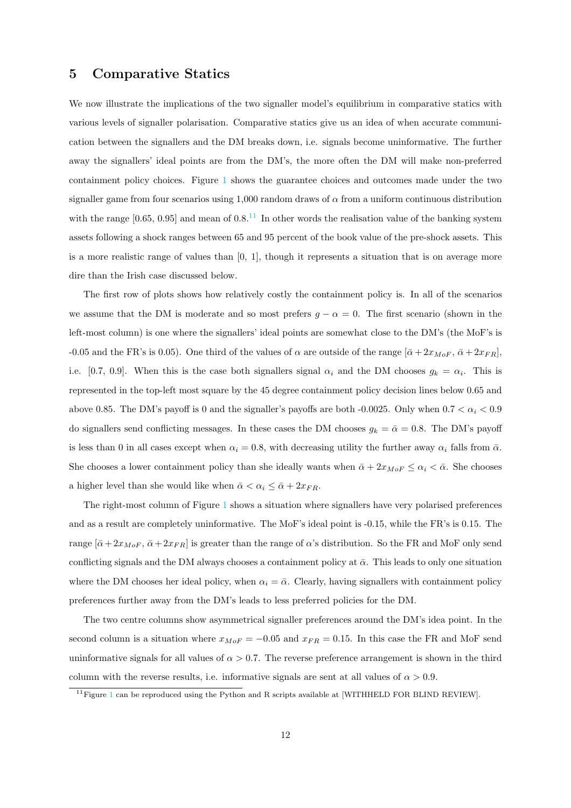#### 5 Comparative Statics

We now illustrate the implications of the two signaller model's equilibrium in comparative statics with various levels of signaller polarisation. Comparative statics give us an idea of when accurate communication between the signallers and the DM breaks down, i.e. signals become uninformative. The further away the signallers' ideal points are from the DM's, the more often the DM will make non-preferred containment policy choices. Figure 1 shows the guarantee choices and outcomes made under the two signaller game from four scenarios using 1,000 random draws of  $\alpha$  from a uniform continuous distribution with the range [0.65*,* 0.95] and mean of 0.8.<sup>11</sup> In other words the realisation value of the banking system assets following a shock ranges between 65 and 95 percent of the book value of the pre-shock assets. This is a more realistic range of values than [0*,* 1], though it represents a situation that is on average more dire than the Irish case discussed below.

The first row of plots shows how relatively costly the containment policy is. In all of the scenarios we assume that the DM is moderate and so most prefers  $g - \alpha = 0$ . The first scenario (shown in the left-most column) is one where the signallers' ideal points are somewhat close to the DM's (the MoF's is -0.05 and the FR's is 0.05). One third of the values of  $\alpha$  are outside of the range  $[\bar{\alpha}+2x_{MoF}, \bar{\alpha}+2x_{FR}]$ , i.e. [0.7, 0.9]. When this is the case both signallers signal  $\alpha_i$  and the DM chooses  $g_k = \alpha_i$ . This is represented in the top-left most square by the 45 degree containment policy decision lines below 0.65 and above 0.85. The DM's payoff is 0 and the signaller's payoffs are both -0.0025. Only when  $0.7 < \alpha_i < 0.9$ do signallers send conflicting messages. In these cases the DM chooses  $g_k = \bar{\alpha} = 0.8$ . The DM's payoff is less than 0 in all cases except when  $\alpha_i = 0.8$ , with decreasing utility the further away  $\alpha_i$  falls from  $\bar{\alpha}$ . She chooses a lower containment policy than she ideally wants when  $\bar{\alpha} + 2x_{MoF} \leq \alpha_i < \bar{\alpha}$ . She chooses a higher level than she would like when  $\bar{\alpha} < \alpha_i \leq \bar{\alpha} + 2x_{FR}$ .

The right-most column of Figure 1 shows a situation where signallers have very polarised preferences and as a result are completely uninformative. The MoF's ideal point is -0.15, while the FR's is 0.15. The range  $[\bar{\alpha}+2x_{MoF}, \bar{\alpha}+2x_{FR}]$  is greater than the range of  $\alpha$ 's distribution. So the FR and MoF only send conflicting signals and the DM always chooses a containment policy at  $\bar{\alpha}$ . This leads to only one situation where the DM chooses her ideal policy, when  $\alpha_i = \bar{\alpha}$ . Clearly, having signallers with containment policy preferences further away from the DM's leads to less preferred policies for the DM.

The two centre columns show asymmetrical signaller preferences around the DM's idea point. In the second column is a situation where  $x_{Mof} = -0.05$  and  $x_{FR} = 0.15$ . In this case the FR and MoF send uninformative signals for all values of  $\alpha > 0.7$ . The reverse preference arrangement is shown in the third column with the reverse results, i.e. informative signals are sent at all values of  $\alpha > 0.9$ .

 $11$  Figure 1 can be reproduced using the Python and R scripts available at [WITHHELD FOR BLIND REVIEW].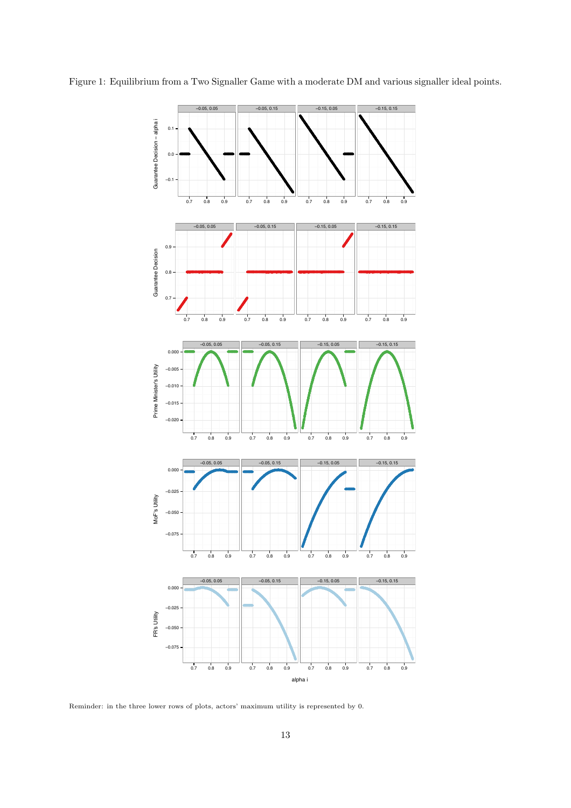

Figure 1: Equilibrium from a Two Signaller Game with a moderate DM and various signaller ideal points.

Reminder: in the three lower rows of plots, actors' maximum utility is represented by 0.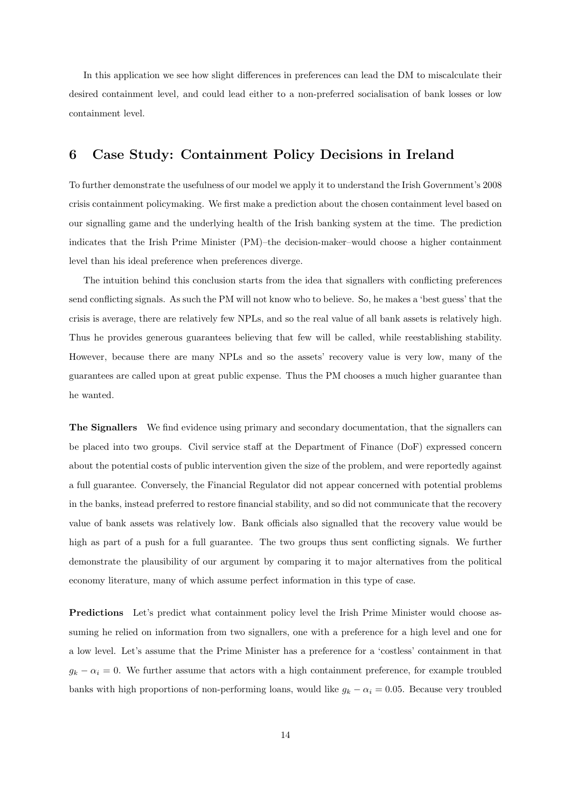In this application we see how slight differences in preferences can lead the DM to miscalculate their desired containment level*,* and could lead either to a non-preferred socialisation of bank losses or low containment level.

#### 6 Case Study: Containment Policy Decisions in Ireland

To further demonstrate the usefulness of our model we apply it to understand the Irish Government's 2008 crisis containment policymaking. We first make a prediction about the chosen containment level based on our signalling game and the underlying health of the Irish banking system at the time. The prediction indicates that the Irish Prime Minister (PM)–the decision-maker–would choose a higher containment level than his ideal preference when preferences diverge.

The intuition behind this conclusion starts from the idea that signallers with conflicting preferences send conflicting signals. As such the PM will not know who to believe. So, he makes a 'best guess' that the crisis is average, there are relatively few NPLs, and so the real value of all bank assets is relatively high. Thus he provides generous guarantees believing that few will be called, while reestablishing stability. However, because there are many NPLs and so the assets' recovery value is very low, many of the guarantees are called upon at great public expense. Thus the PM chooses a much higher guarantee than he wanted.

The Signallers We find evidence using primary and secondary documentation, that the signallers can be placed into two groups. Civil service staff at the Department of Finance (DoF) expressed concern about the potential costs of public intervention given the size of the problem, and were reportedly against a full guarantee. Conversely, the Financial Regulator did not appear concerned with potential problems in the banks, instead preferred to restore financial stability, and so did not communicate that the recovery value of bank assets was relatively low. Bank officials also signalled that the recovery value would be high as part of a push for a full guarantee. The two groups thus sent conflicting signals. We further demonstrate the plausibility of our argument by comparing it to major alternatives from the political economy literature, many of which assume perfect information in this type of case.

Predictions Let's predict what containment policy level the Irish Prime Minister would choose assuming he relied on information from two signallers, one with a preference for a high level and one for a low level. Let's assume that the Prime Minister has a preference for a 'costless' containment in that  $g_k - \alpha_i = 0$ . We further assume that actors with a high containment preference, for example troubled banks with high proportions of non-performing loans, would like  $g_k - \alpha_i = 0.05$ . Because very troubled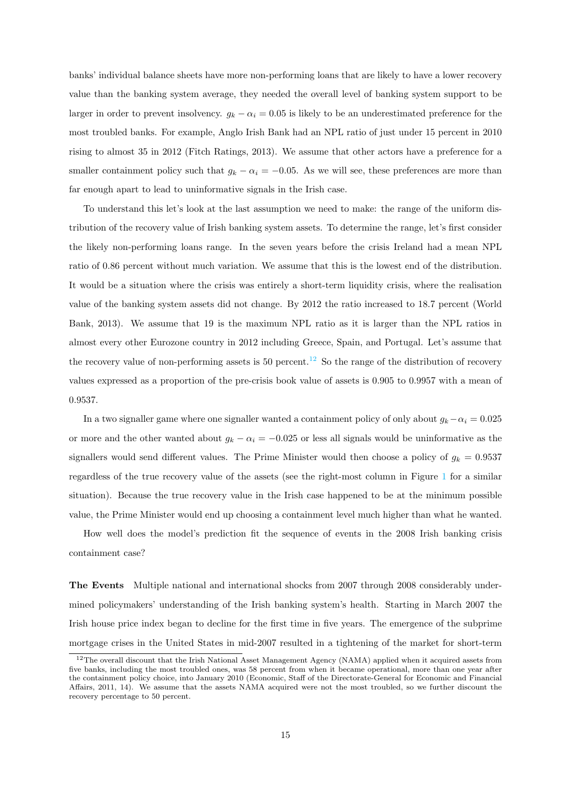banks' individual balance sheets have more non-performing loans that are likely to have a lower recovery value than the banking system average, they needed the overall level of banking system support to be larger in order to prevent insolvency.  $g_k - \alpha_i = 0.05$  is likely to be an underestimated preference for the most troubled banks. For example, Anglo Irish Bank had an NPL ratio of just under 15 percent in 2010 rising to almost 35 in 2012 (Fitch Ratings, 2013). We assume that other actors have a preference for a smaller containment policy such that  $g_k - \alpha_i = -0.05$ . As we will see, these preferences are more than far enough apart to lead to uninformative signals in the Irish case.

To understand this let's look at the last assumption we need to make: the range of the uniform distribution of the recovery value of Irish banking system assets. To determine the range, let's first consider the likely non-performing loans range. In the seven years before the crisis Ireland had a mean NPL ratio of 0.86 percent without much variation. We assume that this is the lowest end of the distribution. It would be a situation where the crisis was entirely a short-term liquidity crisis, where the realisation value of the banking system assets did not change. By 2012 the ratio increased to 18.7 percent (World Bank, 2013). We assume that 19 is the maximum NPL ratio as it is larger than the NPL ratios in almost every other Eurozone country in 2012 including Greece, Spain, and Portugal. Let's assume that the recovery value of non-performing assets is 50 percent.<sup>12</sup> So the range of the distribution of recovery values expressed as a proportion of the pre-crisis book value of assets is 0.905 to 0.9957 with a mean of 0.9537.

In a two signaller game where one signaller wanted a containment policy of only about  $g_k - \alpha_i = 0.025$ or more and the other wanted about  $g_k - \alpha_i = -0.025$  or less all signals would be uninformative as the signallers would send different values. The Prime Minister would then choose a policy of  $g_k = 0.9537$ regardless of the true recovery value of the assets (see the right-most column in Figure 1 for a similar situation). Because the true recovery value in the Irish case happened to be at the minimum possible value, the Prime Minister would end up choosing a containment level much higher than what he wanted.

How well does the model's prediction fit the sequence of events in the 2008 Irish banking crisis containment case?

The Events Multiple national and international shocks from 2007 through 2008 considerably undermined policymakers' understanding of the Irish banking system's health. Starting in March 2007 the Irish house price index began to decline for the first time in five years. The emergence of the subprime mortgage crises in the United States in mid-2007 resulted in a tightening of the market for short-term

<sup>&</sup>lt;sup>12</sup>The overall discount that the Irish National Asset Management Agency (NAMA) applied when it acquired assets from five banks, including the most troubled ones, was 58 percent from when it became operational, more than one year after the containment policy choice, into January 2010 (Economic, Staff of the Directorate-General for Economic and Financial Affairs, 2011, 14). We assume that the assets NAMA acquired were not the most troubled, so we further discount the recovery percentage to 50 percent.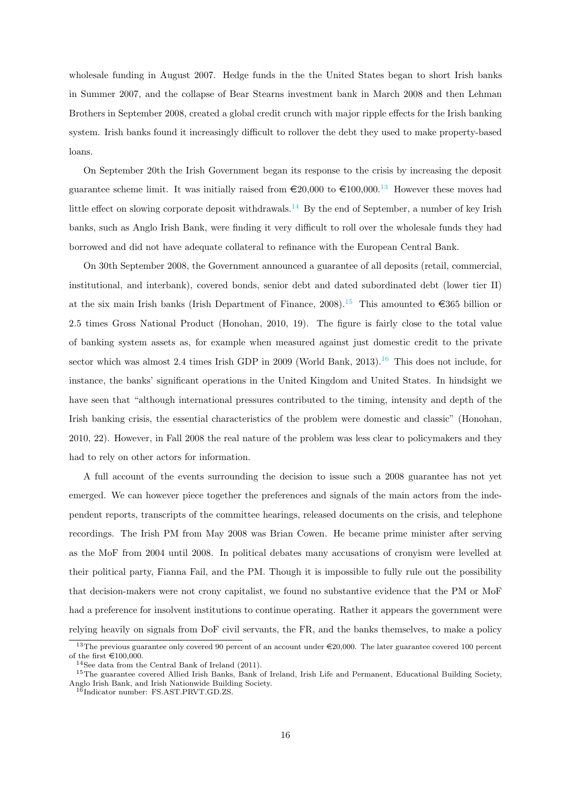wholesale funding in August 2007. Hedge funds in the the United States began to short Irish banks in Summer 2007, and the collapse of Bear Stearns investment bank in March 2008 and then Lehman Brothers in September 2008, created a global credit crunch with major ripple effects for the Irish banking system. Irish banks found it increasingly difficult to rollover the debt they used to make property-based loans.

On September 20th the Irish Government began its response to the crisis by increasing the deposit guarantee scheme limit. It was initially raised from  $\epsilon$ 20,000 to  $\epsilon$ 100,000.<sup>13</sup> However these moves had little effect on slowing corporate deposit withdrawals.<sup>14</sup> By the end of September, a number of key Irish banks, such as Anglo Irish Bank, were finding it very difficult to roll over the wholesale funds they had borrowed and did not have adequate collateral to refinance with the European Central Bank.

On 30th September 2008, the Government announced a guarantee of all deposits (retail, commercial, institutional, and interbank), covered bonds, senior debt and dated subordinated debt (lower tier II) at the six main Irish banks (Irish Department of Finance, 2008).<sup>15</sup> This amounted to  $\epsilon$ 365 billion or 2.5 times Gross National Product (Honohan, 2010, 19). The figure is fairly close to the total value of banking system assets as, for example when measured against just domestic credit to the private sector which was almost 2.4 times Irish GDP in 2009 (World Bank,  $2013$ ).<sup>16</sup> This does not include, for instance, the banks' significant operations in the United Kingdom and United States. In hindsight we have seen that "although international pressures contributed to the timing, intensity and depth of the Irish banking crisis, the essential characteristics of the problem were domestic and classic" (Honohan, 2010, 22). However, in Fall 2008 the real nature of the problem was less clear to policymakers and they had to rely on other actors for information.

A full account of the events surrounding the decision to issue such a 2008 guarantee has not yet emerged. We can however piece together the preferences and signals of the main actors from the independent reports, transcripts of the committee hearings, released documents on the crisis, and telephone recordings. The Irish PM from May 2008 was Brian Cowen. He became prime minister after serving as the MoF from 2004 until 2008. In political debates many accusations of cronyism were levelled at their political party, Fianna Fail, and the PM. Though it is impossible to fully rule out the possibility that decision-makers were not crony capitalist, we found no substantive evidence that the PM or MoF had a preference for insolvent institutions to continue operating. Rather it appears the government were relying heavily on signals from DoF civil servants, the FR, and the banks themselves, to make a policy

<sup>&</sup>lt;sup>13</sup>The previous guarantee only covered 90 percent of an account under  $\epsilon$ 20,000. The later guarantee covered 100 percent of the first  $\in$ 100,000.

<sup>14</sup>See data from the Central Bank of Ireland (2011).

<sup>&</sup>lt;sup>15</sup>The guarantee covered Allied Irish Banks, Bank of Ireland, Irish Life and Permanent, Educational Building Society, Anglo Irish Bank, and Irish Nationwide Building Society.

 $16$ Indicator number: FS.AST.PRVT.GD.ZS.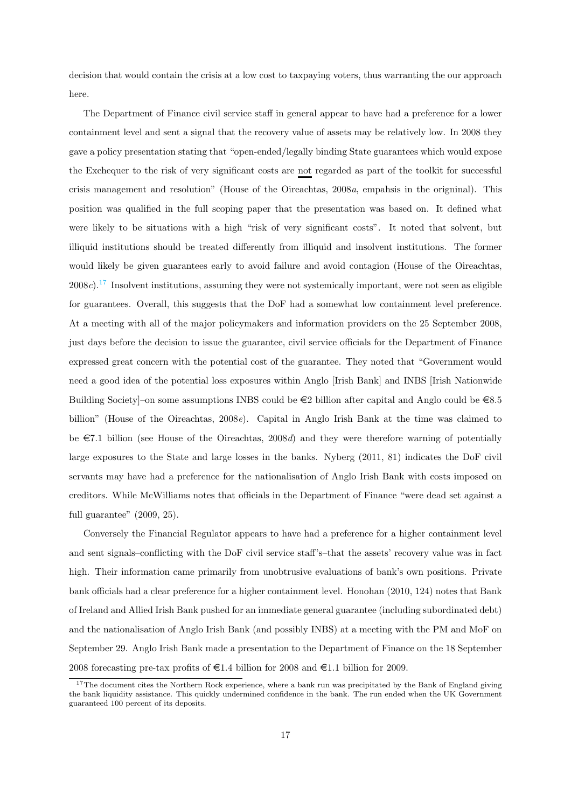decision that would contain the crisis at a low cost to taxpaying voters, thus warranting the our approach here.

The Department of Finance civil service staff in general appear to have had a preference for a lower containment level and sent a signal that the recovery value of assets may be relatively low. In 2008 they gave a policy presentation stating that "open-ended/legally binding State guarantees which would expose the Exchequer to the risk of very significant costs are not regarded as part of the toolkit for successful crisis management and resolution" (House of the Oireachtas, 2008*a*, empahsis in the origninal). This position was qualified in the full scoping paper that the presentation was based on. It defined what were likely to be situations with a high "risk of very significant costs". It noted that solvent, but illiquid institutions should be treated differently from illiquid and insolvent institutions. The former would likely be given guarantees early to avoid failure and avoid contagion (House of the Oireachtas, 2008*c*).<sup>17</sup> Insolvent institutions, assuming they were not systemically important, were not seen as eligible for guarantees. Overall, this suggests that the DoF had a somewhat low containment level preference. At a meeting with all of the major policymakers and information providers on the 25 September 2008, just days before the decision to issue the guarantee, civil service officials for the Department of Finance expressed great concern with the potential cost of the guarantee. They noted that "Government would need a good idea of the potential loss exposures within Anglo [Irish Bank] and INBS [Irish Nationwide Building Society]–on some assumptions INBS could be  $\in \mathbb{2}$  billion after capital and Anglo could be  $\in \mathbb{8.5}$ billion" (House of the Oireachtas, 2008*e*). Capital in Anglo Irish Bank at the time was claimed to be  $\epsilon$ 7.1 billion (see House of the Oireachtas, 2008*d*) and they were therefore warning of potentially large exposures to the State and large losses in the banks. Nyberg (2011, 81) indicates the DoF civil servants may have had a preference for the nationalisation of Anglo Irish Bank with costs imposed on creditors. While McWilliams notes that officials in the Department of Finance "were dead set against a full guarantee" (2009, 25).

Conversely the Financial Regulator appears to have had a preference for a higher containment level and sent signals–conflicting with the DoF civil service staff's–that the assets' recovery value was in fact high. Their information came primarily from unobtrusive evaluations of bank's own positions. Private bank officials had a clear preference for a higher containment level. Honohan (2010, 124) notes that Bank of Ireland and Allied Irish Bank pushed for an immediate general guarantee (including subordinated debt) and the nationalisation of Anglo Irish Bank (and possibly INBS) at a meeting with the PM and MoF on September 29. Anglo Irish Bank made a presentation to the Department of Finance on the 18 September 2008 forecasting pre-tax profits of  $\in$  1.4 billion for 2008 and  $\in$  1.1 billion for 2009.

<sup>&</sup>lt;sup>17</sup>The document cites the Northern Rock experience, where a bank run was precipitated by the Bank of England giving the bank liquidity assistance. This quickly undermined confidence in the bank. The run ended when the UK Government guaranteed 100 percent of its deposits.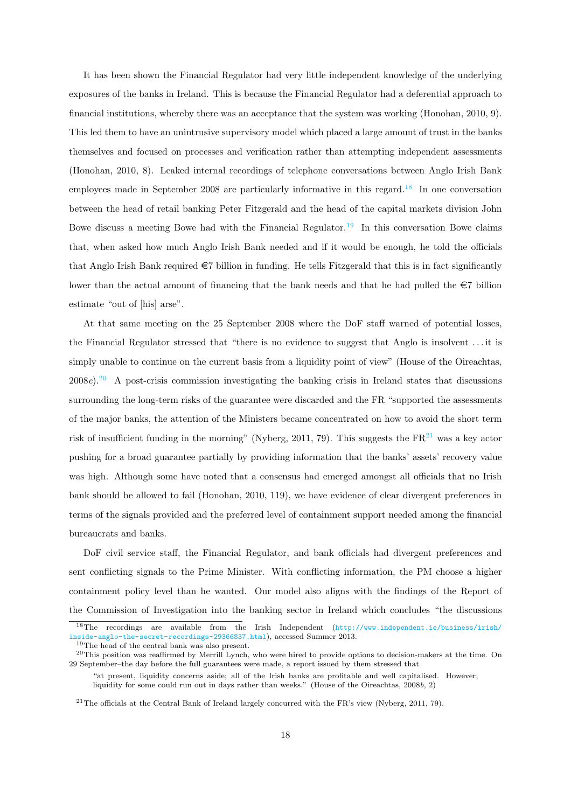It has been shown the Financial Regulator had very little independent knowledge of the underlying exposures of the banks in Ireland. This is because the Financial Regulator had a deferential approach to financial institutions, whereby there was an acceptance that the system was working (Honohan, 2010, 9). This led them to have an unintrusive supervisory model which placed a large amount of trust in the banks themselves and focused on processes and verification rather than attempting independent assessments (Honohan, 2010, 8). Leaked internal recordings of telephone conversations between Anglo Irish Bank employees made in September 2008 are particularly informative in this regard.<sup>18</sup> In one conversation between the head of retail banking Peter Fitzgerald and the head of the capital markets division John Bowe discuss a meeting Bowe had with the Financial Regulator.<sup>19</sup> In this conversation Bowe claims that, when asked how much Anglo Irish Bank needed and if it would be enough, he told the officials that Anglo Irish Bank required  $\epsilon$ 7 billion in funding. He tells Fitzgerald that this is in fact significantly lower than the actual amount of financing that the bank needs and that he had pulled the  $\epsilon$ 7 billion estimate "out of [his] arse".

At that same meeting on the 25 September 2008 where the DoF staff warned of potential losses, the Financial Regulator stressed that "there is no evidence to suggest that Anglo is insolvent . . . it is simply unable to continue on the current basis from a liquidity point of view" (House of the Oireachtas, 2008*e*).<sup>20</sup> A post-crisis commission investigating the banking crisis in Ireland states that discussions surrounding the long-term risks of the guarantee were discarded and the FR "supported the assessments of the major banks, the attention of the Ministers became concentrated on how to avoid the short term risk of insufficient funding in the morning" (Nyberg, 2011, 79). This suggests the  $FR<sup>21</sup>$  was a key actor pushing for a broad guarantee partially by providing information that the banks' assets' recovery value was high. Although some have noted that a consensus had emerged amongst all officials that no Irish bank should be allowed to fail (Honohan, 2010, 119), we have evidence of clear divergent preferences in terms of the signals provided and the preferred level of containment support needed among the financial bureaucrats and banks.

DoF civil service staff, the Financial Regulator, and bank officials had divergent preferences and sent conflicting signals to the Prime Minister. With conflicting information, the PM choose a higher containment policy level than he wanted. Our model also aligns with the findings of the Report of the Commission of Investigation into the banking sector in Ireland which concludes "the discussions

<sup>18</sup>The recordings are available from the Irish Independent (http://www.independent.ie/business/irish/ inside-anglo-the-secret-recordings-29366837.html), accessed Summer 2013.

<sup>&</sup>lt;sup>19</sup>The head of the central bank was also present.

 $^{20}$ This position was reaffirmed by Merrill Lynch, who were hired to provide options to decision-makers at the time. On 29 September–the day before the full guarantees were made, a report issued by them stressed that

<sup>&</sup>quot;at present, liquidity concerns aside; all of the Irish banks are profitable and well capitalised. However, liquidity for some could run out in days rather than weeks." (House of the Oireachtas, 2008*b*, 2)

<sup>&</sup>lt;sup>21</sup>The officials at the Central Bank of Ireland largely concurred with the FR's view (Nyberg, 2011, 79).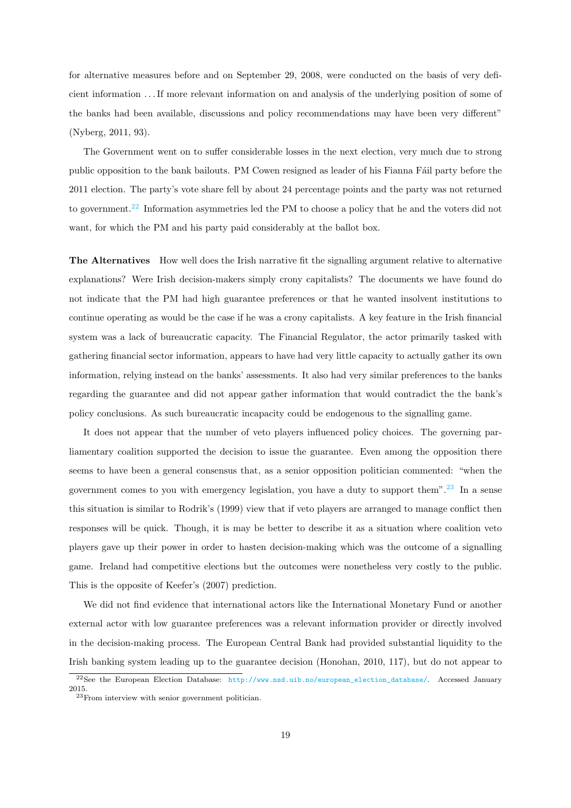for alternative measures before and on September 29, 2008, were conducted on the basis of very deficient information . . . If more relevant information on and analysis of the underlying position of some of the banks had been available, discussions and policy recommendations may have been very different" (Nyberg, 2011, 93).

The Government went on to suffer considerable losses in the next election, very much due to strong public opposition to the bank bailouts. PM Cowen resigned as leader of his Fianna F´ail party before the 2011 election. The party's vote share fell by about 24 percentage points and the party was not returned to government.<sup>22</sup> Information asymmetries led the PM to choose a policy that he and the voters did not want, for which the PM and his party paid considerably at the ballot box.

The Alternatives How well does the Irish narrative fit the signalling argument relative to alternative explanations? Were Irish decision-makers simply crony capitalists? The documents we have found do not indicate that the PM had high guarantee preferences or that he wanted insolvent institutions to continue operating as would be the case if he was a crony capitalists. A key feature in the Irish financial system was a lack of bureaucratic capacity. The Financial Regulator, the actor primarily tasked with gathering financial sector information, appears to have had very little capacity to actually gather its own information, relying instead on the banks' assessments. It also had very similar preferences to the banks regarding the guarantee and did not appear gather information that would contradict the the bank's policy conclusions. As such bureaucratic incapacity could be endogenous to the signalling game.

It does not appear that the number of veto players influenced policy choices. The governing parliamentary coalition supported the decision to issue the guarantee. Even among the opposition there seems to have been a general consensus that, as a senior opposition politician commented: "when the government comes to you with emergency legislation, you have a duty to support them".<sup>23</sup> In a sense this situation is similar to Rodrik's (1999) view that if veto players are arranged to manage conflict then responses will be quick. Though, it is may be better to describe it as a situation where coalition veto players gave up their power in order to hasten decision-making which was the outcome of a signalling game. Ireland had competitive elections but the outcomes were nonetheless very costly to the public. This is the opposite of Keefer's (2007) prediction.

We did not find evidence that international actors like the International Monetary Fund or another external actor with low guarantee preferences was a relevant information provider or directly involved in the decision-making process. The European Central Bank had provided substantial liquidity to the Irish banking system leading up to the guarantee decision (Honohan, 2010, 117), but do not appear to

<sup>22</sup>See the European Election Database: http://www.nsd.uib.no/european\_election\_database/. Accessed January 2015.

<sup>23</sup>From interview with senior government politician.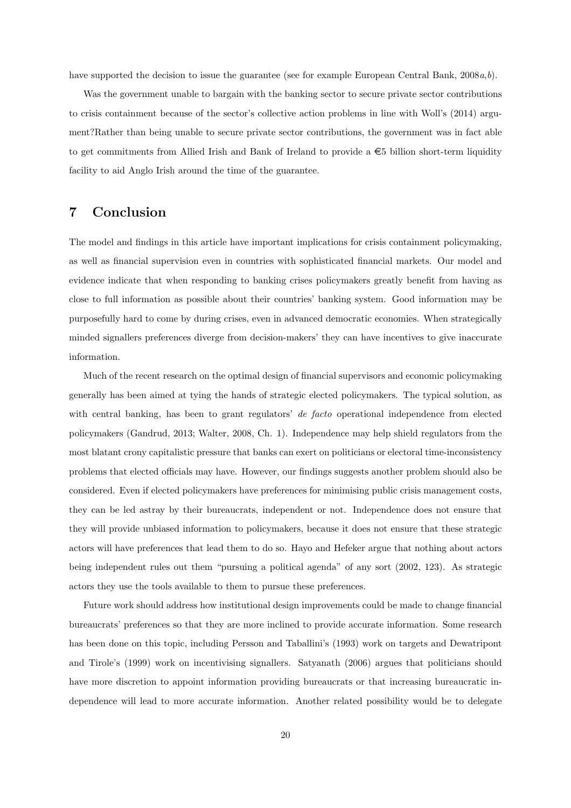have supported the decision to issue the guarantee (see for example European Central Bank, 2008*a*,*b*).

Was the government unable to bargain with the banking sector to secure private sector contributions to crisis containment because of the sector's collective action problems in line with Woll's (2014) argument?Rather than being unable to secure private sector contributions, the government was in fact able to get commitments from Allied Irish and Bank of Ireland to provide a  $\epsilon$ 5 billion short-term liquidity facility to aid Anglo Irish around the time of the guarantee.

#### 7 Conclusion

The model and findings in this article have important implications for crisis containment policymaking, as well as financial supervision even in countries with sophisticated financial markets. Our model and evidence indicate that when responding to banking crises policymakers greatly benefit from having as close to full information as possible about their countries' banking system. Good information may be purposefully hard to come by during crises, even in advanced democratic economies. When strategically minded signallers preferences diverge from decision-makers' they can have incentives to give inaccurate information.

Much of the recent research on the optimal design of financial supervisors and economic policymaking generally has been aimed at tying the hands of strategic elected policymakers. The typical solution, as with central banking, has been to grant regulators' *de facto* operational independence from elected policymakers (Gandrud, 2013; Walter, 2008, Ch. 1). Independence may help shield regulators from the most blatant crony capitalistic pressure that banks can exert on politicians or electoral time-inconsistency problems that elected officials may have. However, our findings suggests another problem should also be considered. Even if elected policymakers have preferences for minimising public crisis management costs, they can be led astray by their bureaucrats, independent or not. Independence does not ensure that they will provide unbiased information to policymakers, because it does not ensure that these strategic actors will have preferences that lead them to do so. Hayo and Hefeker argue that nothing about actors being independent rules out them "pursuing a political agenda" of any sort (2002, 123). As strategic actors they use the tools available to them to pursue these preferences.

Future work should address how institutional design improvements could be made to change financial bureaucrats' preferences so that they are more inclined to provide accurate information. Some research has been done on this topic, including Persson and Taballini's (1993) work on targets and Dewatripont and Tirole's (1999) work on incentivising signallers. Satyanath (2006) argues that politicians should have more discretion to appoint information providing bureaucrats or that increasing bureaucratic independence will lead to more accurate information. Another related possibility would be to delegate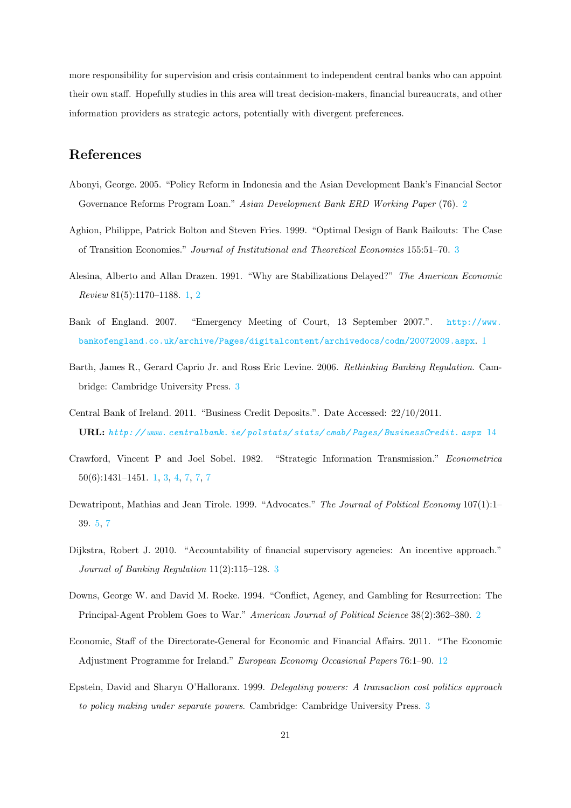more responsibility for supervision and crisis containment to independent central banks who can appoint their own staff. Hopefully studies in this area will treat decision-makers, financial bureaucrats, and other information providers as strategic actors, potentially with divergent preferences.

#### References

- Abonyi, George. 2005. "Policy Reform in Indonesia and the Asian Development Bank's Financial Sector Governance Reforms Program Loan." *Asian Development Bank ERD Working Paper* (76). 2
- Aghion, Philippe, Patrick Bolton and Steven Fries. 1999. "Optimal Design of Bank Bailouts: The Case of Transition Economies." *Journal of Institutional and Theoretical Economics* 155:51–70. 3
- Alesina, Alberto and Allan Drazen. 1991. "Why are Stabilizations Delayed?" *The American Economic Review* 81(5):1170–1188. 1, 2
- Bank of England. 2007. "Emergency Meeting of Court, 13 September 2007.". http://www. bankofengland.co.uk/archive/Pages/digitalcontent/archivedocs/codm/20072009.aspx. 1
- Barth, James R., Gerard Caprio Jr. and Ross Eric Levine. 2006. *Rethinking Banking Regulation*. Cambridge: Cambridge University Press. 3
- Central Bank of Ireland. 2011. "Business Credit Deposits.". Date Accessed: 22/10/2011. URL: *http: // www. centralbank. ie/ polstats/ stats/ cmab/ Pages/ BusinessCredit. aspx* 14
- Crawford, Vincent P and Joel Sobel. 1982. "Strategic Information Transmission." *Econometrica* 50(6):1431–1451. 1, 3, 4, 7, 7, 7
- Dewatripont, Mathias and Jean Tirole. 1999. "Advocates." *The Journal of Political Economy* 107(1):1– 39. 5, 7
- Dijkstra, Robert J. 2010. "Accountability of financial supervisory agencies: An incentive approach." *Journal of Banking Regulation* 11(2):115–128. 3
- Downs, George W. and David M. Rocke. 1994. "Conflict, Agency, and Gambling for Resurrection: The Principal-Agent Problem Goes to War." *American Journal of Political Science* 38(2):362–380. 2
- Economic, Staff of the Directorate-General for Economic and Financial Affairs. 2011. "The Economic Adjustment Programme for Ireland." *European Economy Occasional Papers* 76:1–90. 12
- Epstein, David and Sharyn O'Halloranx. 1999. *Delegating powers: A transaction cost politics approach to policy making under separate powers*. Cambridge: Cambridge University Press. 3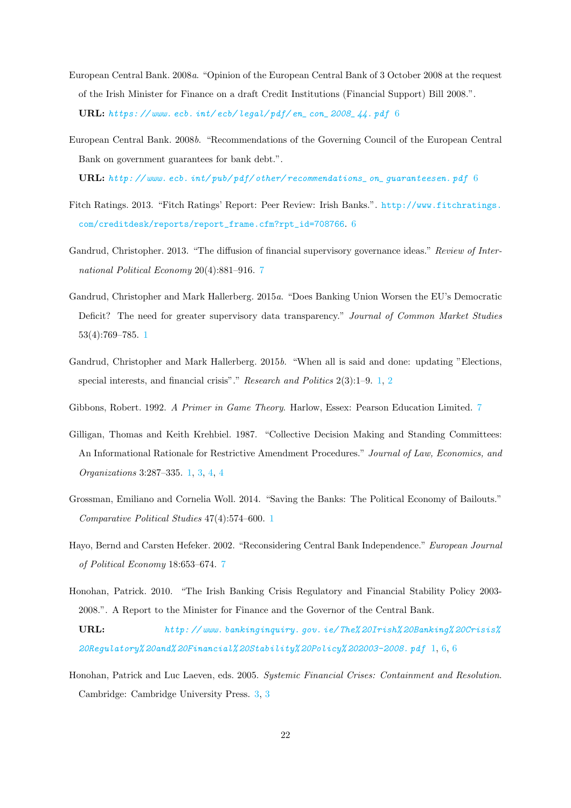- European Central Bank. 2008*a*. "Opinion of the European Central Bank of 3 October 2008 at the request of the Irish Minister for Finance on a draft Credit Institutions (Financial Support) Bill 2008.". URL: *https: // www. ecb. int/ ecb/ legal/ pdf/ en\_ con\_ 2008\_ 44. pdf* 6
- European Central Bank. 2008*b*. "Recommendations of the Governing Council of the European Central Bank on government guarantees for bank debt.".

URL: *http: // www. ecb. int/ pub/ pdf/ other/ recommendations\_ on\_ guaranteesen. pdf* 6

- Fitch Ratings. 2013. "Fitch Ratings' Report: Peer Review: Irish Banks.". http://www.fitchratings. com/creditdesk/reports/report\_frame.cfm?rpt\_id=708766. 6
- Gandrud, Christopher. 2013. "The diffusion of financial supervisory governance ideas." *Review of International Political Economy* 20(4):881–916. 7
- Gandrud, Christopher and Mark Hallerberg. 2015*a*. "Does Banking Union Worsen the EU's Democratic Deficit? The need for greater supervisory data transparency." *Journal of Common Market Studies* 53(4):769–785. 1
- Gandrud, Christopher and Mark Hallerberg. 2015*b*. "When all is said and done: updating "Elections, special interests, and financial crisis"." *Research and Politics* 2(3):1–9. 1, 2
- Gibbons, Robert. 1992. *A Primer in Game Theory*. Harlow, Essex: Pearson Education Limited. 7
- Gilligan, Thomas and Keith Krehbiel. 1987. "Collective Decision Making and Standing Committees: An Informational Rationale for Restrictive Amendment Procedures." *Journal of Law, Economics, and Organizations* 3:287–335. 1, 3, 4, 4
- Grossman, Emiliano and Cornelia Woll. 2014. "Saving the Banks: The Political Economy of Bailouts." *Comparative Political Studies* 47(4):574–600. 1
- Hayo, Bernd and Carsten Hefeker. 2002. "Reconsidering Central Bank Independence." *European Journal of Political Economy* 18:653–674. 7
- Honohan, Patrick. 2010. "The Irish Banking Crisis Regulatory and Financial Stability Policy 2003- 2008.". A Report to the Minister for Finance and the Governor of the Central Bank.

URL: *http: // www. bankinginquiry. gov. ie/ The% 20Irish% 20Banking% 20Crisis% 20Regulatory% 20and% 20Financial% 20Stability% 20Policy% 202003-2008. pdf* 1, 6, 6

Honohan, Patrick and Luc Laeven, eds. 2005. *Systemic Financial Crises: Containment and Resolution*. Cambridge: Cambridge University Press. 3, 3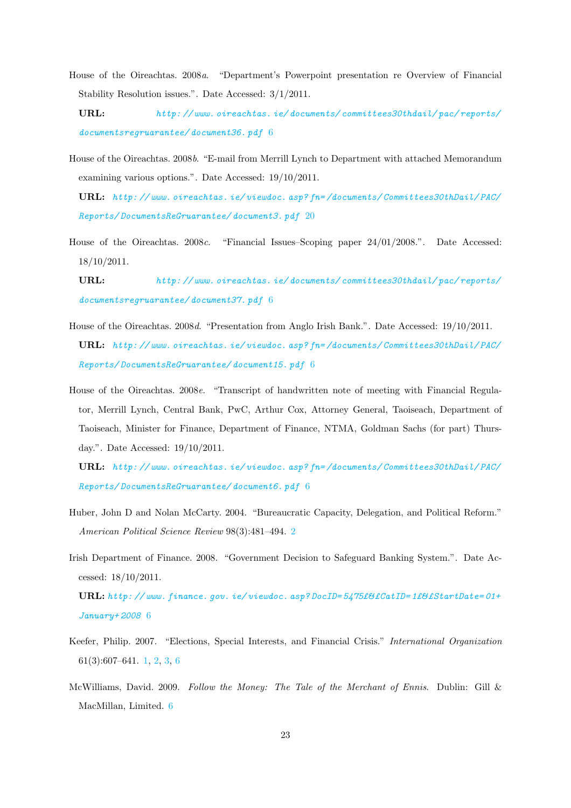- House of the Oireachtas. 2008*a*. "Department's Powerpoint presentation re Overview of Financial Stability Resolution issues.". Date Accessed: 3/1/2011.
	- URL: *http: // www. oireachtas. ie/ documents/ committees30thdail/ pac/ reports/ documentsregruarantee/ document36. pdf* 6
- House of the Oireachtas. 2008*b*. "E-mail from Merrill Lynch to Department with attached Memorandum examining various options.". Date Accessed: 19/10/2011.
	- URL: *http: // www. oireachtas. ie/ viewdoc. asp? fn= /documents/ Committees30thDail/ PAC/ Reports/ DocumentsReGruarantee/ document3. pdf* 20
- House of the Oireachtas. 2008*c*. "Financial Issues–Scoping paper 24/01/2008.". Date Accessed: 18/10/2011.
	- URL: *http: // www. oireachtas. ie/ documents/ committees30thdail/ pac/ reports/ documentsregruarantee/ document37. pdf* 6
- House of the Oireachtas. 2008*d*. "Presentation from Anglo Irish Bank.". Date Accessed: 19/10/2011. URL: *http: // www. oireachtas. ie/ viewdoc. asp? fn= /documents/ Committees30thDail/ PAC/ Reports/ DocumentsReGruarantee/ document15. pdf* 6
- House of the Oireachtas. 2008*e*. "Transcript of handwritten note of meeting with Financial Regulator, Merrill Lynch, Central Bank, PwC, Arthur Cox, Attorney General, Taoiseach, Department of Taoiseach, Minister for Finance, Department of Finance, NTMA, Goldman Sachs (for part) Thursday.". Date Accessed: 19/10/2011.

URL: *http: // www. oireachtas. ie/ viewdoc. asp? fn= /documents/ Committees30thDail/ PAC/ Reports/ DocumentsReGruarantee/ document6. pdf* 6

- Huber, John D and Nolan McCarty. 2004. "Bureaucratic Capacity, Delegation, and Political Reform." *American Political Science Review* 98(3):481–494. 2
- Irish Department of Finance. 2008. "Government Decision to Safeguard Banking System.". Date Accessed: 18/10/2011.

URL: *http: // www. finance. gov. ie/ viewdoc. asp? DocID= 5475£& £CatID= 1£& £StartDate= 01+ January+ 2008* 6

- Keefer, Philip. 2007. "Elections, Special Interests, and Financial Crisis." *International Organization* 61(3):607–641. 1, 2, 3, 6
- McWilliams, David. 2009. *Follow the Money: The Tale of the Merchant of Ennis*. Dublin: Gill & MacMillan, Limited. 6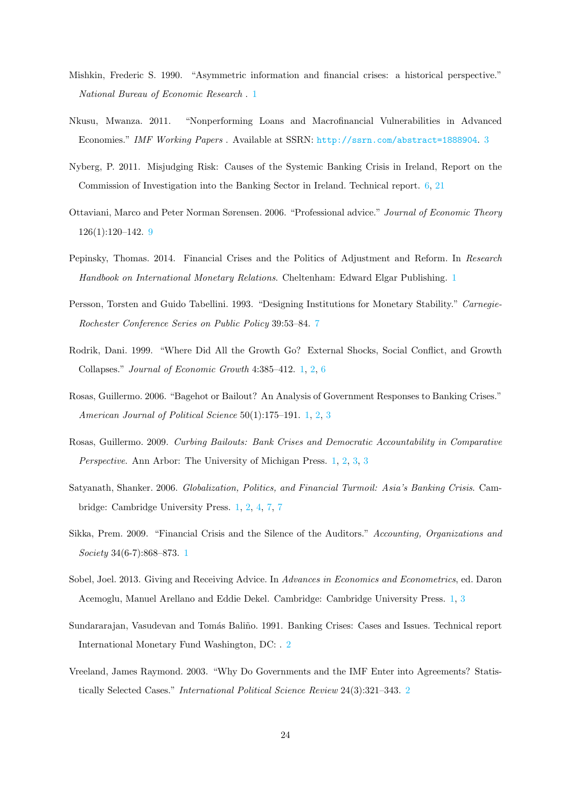- Mishkin, Frederic S. 1990. "Asymmetric information and financial crises: a historical perspective." *National Bureau of Economic Research* . 1
- Nkusu, Mwanza. 2011. "Nonperforming Loans and Macrofinancial Vulnerabilities in Advanced Economies." *IMF Working Papers* . Available at SSRN: http://ssrn.com/abstract=1888904. 3
- Nyberg, P. 2011. Misjudging Risk: Causes of the Systemic Banking Crisis in Ireland, Report on the Commission of Investigation into the Banking Sector in Ireland. Technical report. 6, 21
- Ottaviani, Marco and Peter Norman Sørensen. 2006. "Professional advice." *Journal of Economic Theory* 126(1):120–142. 9
- Pepinsky, Thomas. 2014. Financial Crises and the Politics of Adjustment and Reform. In *Research Handbook on International Monetary Relations*. Cheltenham: Edward Elgar Publishing. 1
- Persson, Torsten and Guido Tabellini. 1993. "Designing Institutions for Monetary Stability." *Carnegie-Rochester Conference Series on Public Policy* 39:53–84. 7
- Rodrik, Dani. 1999. "Where Did All the Growth Go? External Shocks, Social Conflict, and Growth Collapses." *Journal of Economic Growth* 4:385–412. 1, 2, 6
- Rosas, Guillermo. 2006. "Bagehot or Bailout? An Analysis of Government Responses to Banking Crises." *American Journal of Political Science* 50(1):175–191. 1, 2, 3
- Rosas, Guillermo. 2009. *Curbing Bailouts: Bank Crises and Democratic Accountability in Comparative Perspective*. Ann Arbor: The University of Michigan Press. 1, 2, 3, 3
- Satyanath, Shanker. 2006. *Globalization, Politics, and Financial Turmoil: Asia's Banking Crisis*. Cambridge: Cambridge University Press. 1, 2, 4, 7, 7
- Sikka, Prem. 2009. "Financial Crisis and the Silence of the Auditors." *Accounting, Organizations and Society* 34(6-7):868–873. 1
- Sobel, Joel. 2013. Giving and Receiving Advice. In *Advances in Economics and Econometrics*, ed. Daron Acemoglu, Manuel Arellano and Eddie Dekel. Cambridge: Cambridge University Press. 1, 3
- Sundararajan, Vasudevan and Tomás Baliño. 1991. Banking Crises: Cases and Issues. Technical report International Monetary Fund Washington, DC: . 2
- Vreeland, James Raymond. 2003. "Why Do Governments and the IMF Enter into Agreements? Statistically Selected Cases." *International Political Science Review* 24(3):321–343. 2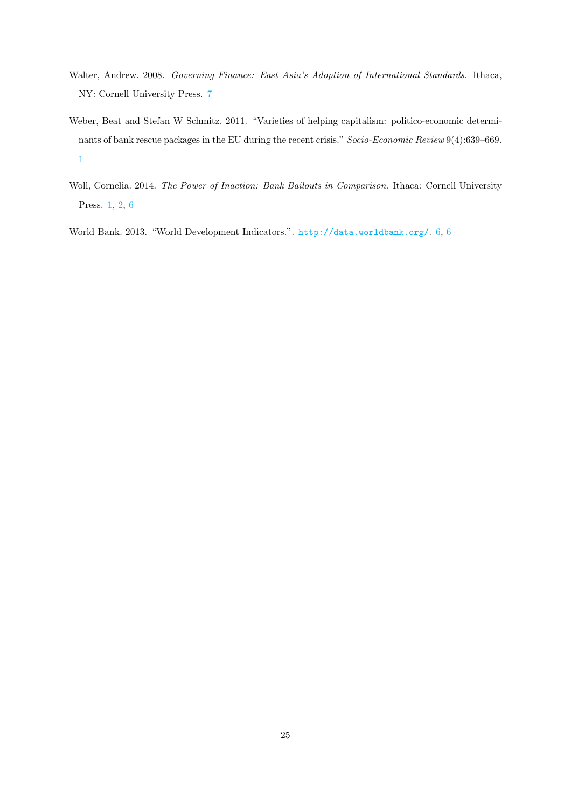- Walter, Andrew. 2008. *Governing Finance: East Asia's Adoption of International Standards*. Ithaca, NY: Cornell University Press. 7
- Weber, Beat and Stefan W Schmitz. 2011. "Varieties of helping capitalism: politico-economic determinants of bank rescue packages in the EU during the recent crisis." *Socio-Economic Review* 9(4):639–669. 1
- Woll, Cornelia. 2014. *The Power of Inaction: Bank Bailouts in Comparison*. Ithaca: Cornell University Press. 1, 2, 6

World Bank. 2013. "World Development Indicators.". http://data.worldbank.org/. 6, 6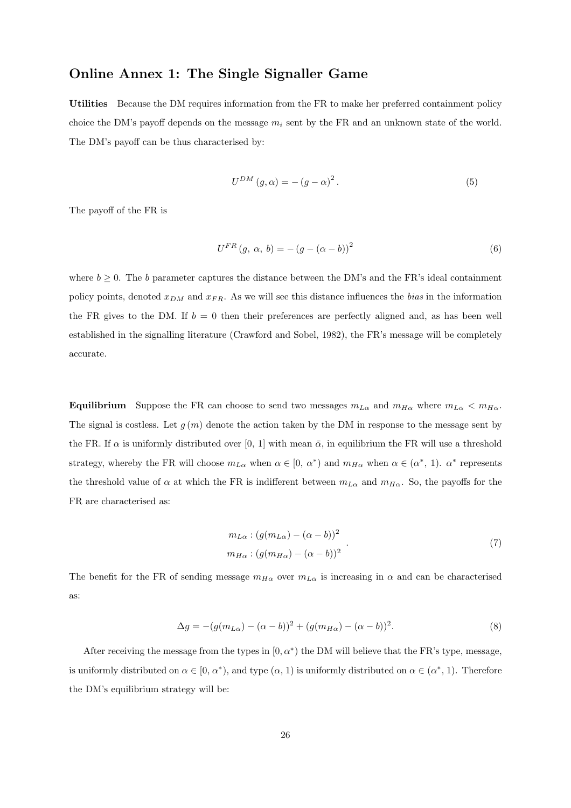#### Online Annex 1: The Single Signaller Game

Utilities Because the DM requires information from the FR to make her preferred containment policy choice the DM's payoff depends on the message  $m_i$  sent by the FR and an unknown state of the world. The DM's payoff can be thus characterised by:

$$
U^{DM}(g,\alpha) = -(g-\alpha)^2.
$$
\n(5)

The payoff of the FR is

$$
U^{FR} (g, \alpha, b) = -(g - (\alpha - b))^2
$$
 (6)

where  $b \geq 0$ . The *b* parameter captures the distance between the DM's and the FR's ideal containment policy points, denoted *xDM* and *xF R*. As we will see this distance influences the *bias* in the information the FR gives to the DM. If  $b = 0$  then their preferences are perfectly aligned and, as has been well established in the signalling literature (Crawford and Sobel, 1982), the FR's message will be completely accurate.

Equilibrium Suppose the FR can choose to send two messages  $m_{L\alpha}$  and  $m_{H\alpha}$  where  $m_{L\alpha} < m_{H\alpha}$ . The signal is costless. Let  $g(m)$  denote the action taken by the DM in response to the message sent by the FR. If  $\alpha$  is uniformly distributed over [0, 1] with mean  $\bar{\alpha}$ , in equilibrium the FR will use a threshold strategy, whereby the FR will choose  $m_{L\alpha}$  when  $\alpha \in [0, \alpha^*)$  and  $m_{H\alpha}$  when  $\alpha \in (\alpha^*, 1)$ .  $\alpha^*$  represents the threshold value of  $\alpha$  at which the FR is indifferent between  $m_{L\alpha}$  and  $m_{H\alpha}$ . So, the payoffs for the FR are characterised as:

$$
m_{L\alpha} : (g(m_{L\alpha}) - (\alpha - b))^2
$$
  
\n
$$
m_{H\alpha} : (g(m_{H\alpha}) - (\alpha - b))^2
$$
\n(7)

The benefit for the FR of sending message  $m_{H\alpha}$  over  $m_{L\alpha}$  is increasing in  $\alpha$  and can be characterised as:

$$
\Delta g = -(g(m_{L\alpha}) - (\alpha - b))^2 + (g(m_{H\alpha}) - (\alpha - b))^2.
$$
\n(8)

After receiving the message from the types in  $[0, \alpha^*)$  the DM will believe that the FR's type, message, is uniformly distributed on  $\alpha \in [0, \alpha^*),$  and type  $(\alpha, 1)$  is uniformly distributed on  $\alpha \in (\alpha^*, 1)$ . Therefore the DM's equilibrium strategy will be: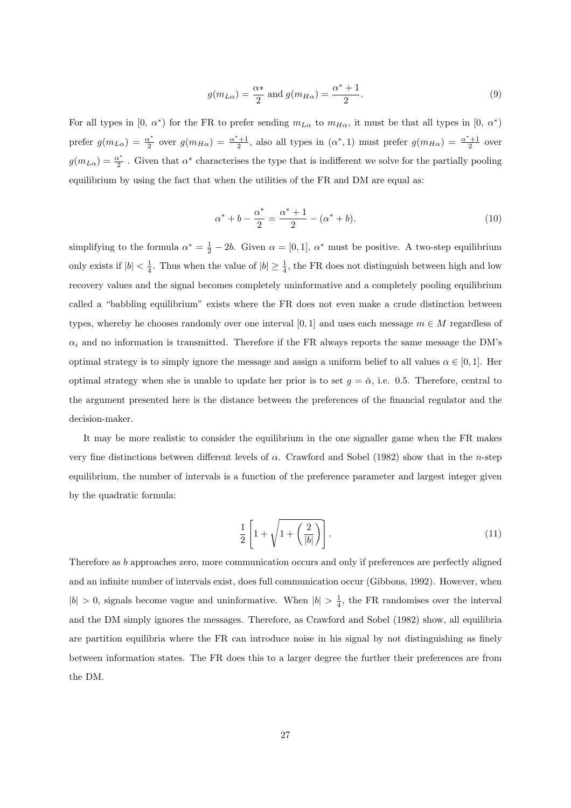$$
g(m_{L\alpha}) = \frac{\alpha*}{2} \text{ and } g(m_{H\alpha}) = \frac{\alpha^* + 1}{2}.
$$
 (9)

For all types in  $[0, \alpha^*)$  for the FR to prefer sending  $m_{L\alpha}$  to  $m_{H\alpha}$ , it must be that all types in  $[0, \alpha^*)$ prefer  $g(m_{L\alpha}) = \frac{\alpha^*}{2}$  over  $g(m_{H\alpha}) = \frac{\alpha^*+1}{2}$ , also all types in  $(\alpha^*, 1)$  must prefer  $g(m_{H\alpha}) = \frac{\alpha^*+1}{2}$  over  $g(m_{L\alpha}) = \frac{\alpha^*}{2}$ . Given that  $\alpha^*$  characterises the type that is indifferent we solve for the partially pooling equilibrium by using the fact that when the utilities of the FR and DM are equal as:

$$
\alpha^* + b - \frac{\alpha^*}{2} = \frac{\alpha^* + 1}{2} - (\alpha^* + b). \tag{10}
$$

simplifying to the formula  $\alpha^* = \frac{1}{2} - 2b$ . Given  $\alpha = [0, 1]$ ,  $\alpha^*$  must be positive. A two-step equilibrium only exists if  $|b| < \frac{1}{4}$ . Thus when the value of  $|b| \geq \frac{1}{4}$ , the FR does not distinguish between high and low recovery values and the signal becomes completely uninformative and a completely pooling equilibrium called a "babbling equilibrium" exists where the FR does not even make a crude distinction between types, whereby he chooses randomly over one interval  $[0,1]$  and uses each message  $m \in M$  regardless of  $\alpha_i$  and no information is transmitted. Therefore if the FR always reports the same message the DM's optimal strategy is to simply ignore the message and assign a uniform belief to all values  $\alpha \in [0, 1]$ . Her optimal strategy when she is unable to update her prior is to set  $g = \bar{\alpha}$ , i.e. 0.5. Therefore, central to the argument presented here is the distance between the preferences of the financial regulator and the decision-maker.

It may be more realistic to consider the equilibrium in the one signaller game when the FR makes very fine distinctions between different levels of  $\alpha$ . Crawford and Sobel (1982) show that in the *n*-step equilibrium, the number of intervals is a function of the preference parameter and largest integer given by the quadratic formula:

$$
\frac{1}{2}\left[1+\sqrt{1+\left(\frac{2}{|b|}\right)}\right].
$$
\n(11)

Therefore as *b* approaches zero, more communication occurs and only if preferences are perfectly aligned and an infinite number of intervals exist, does full communication occur (Gibbons, 1992). However, when  $|b| > 0$ , signals become vague and uninformative. When  $|b| > \frac{1}{4}$ , the FR randomises over the interval and the DM simply ignores the messages. Therefore, as Crawford and Sobel (1982) show, all equilibria are partition equilibria where the FR can introduce noise in his signal by not distinguishing as finely between information states. The FR does this to a larger degree the further their preferences are from the DM.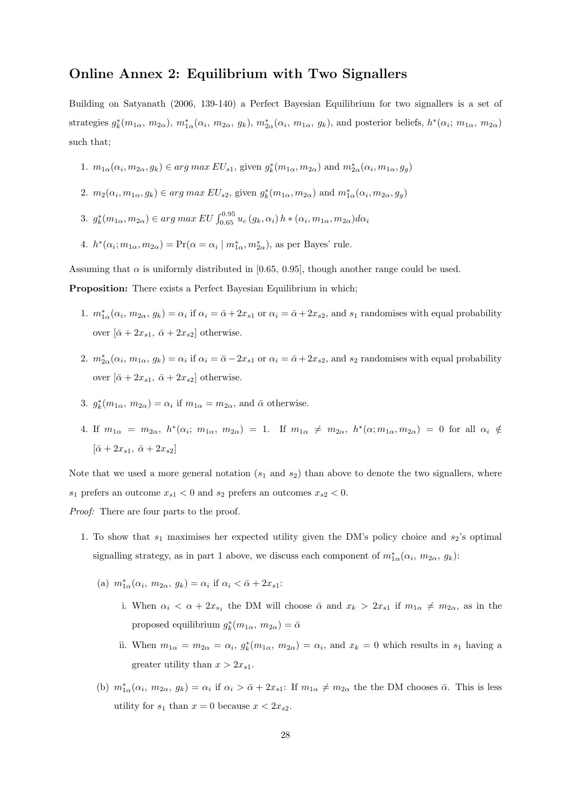#### Online Annex 2: Equilibrium with Two Signallers

Building on Satyanath (2006, 139-140) a Perfect Bayesian Equilibrium for two signallers is a set of strategies  $g_k^*(m_{1\alpha}, m_{2\alpha})$ ,  $m_{1\alpha}^*(\alpha_i, m_{2\alpha}, g_k)$ ,  $m_{2\alpha}^*(\alpha_i, m_{1\alpha}, g_k)$ , and posterior beliefs,  $h^*(\alpha_i; m_{1\alpha}, m_{2\alpha})$ such that;

- 1.  $m_{1\alpha}(\alpha_i, m_{2\alpha}, g_k) \in \arg \max EU_{s1}$ , given  $g_k^*(m_{1\alpha}, m_{2\alpha})$  and  $m_{2\alpha}^*(\alpha_i, m_{1\alpha}, g_g)$
- 2.  $m_2(\alpha_i, m_{1\alpha}, g_k) \in arg \, max \, EU_{s2}$ , given  $g_k^*(m_{1\alpha}, m_{2\alpha})$  and  $m_{1\alpha}^*(\alpha_i, m_{2\alpha}, g_g)$
- 3.  $g_k^*(m_{1\alpha}, m_{2\alpha}) \in arg \ max \ EU \int_{0.65}^{0.95} u_c(g_k, \alpha_i) h * (\alpha_i, m_{1\alpha}, m_{2\alpha}) d\alpha_i$
- 4.  $h^*(\alpha_i; m_{1\alpha}, m_{2\alpha}) = \Pr(\alpha = \alpha_i \mid m_{1\alpha}^*, m_{2\alpha}^*),$  as per Bayes' rule.

Assuming that  $\alpha$  is uniformly distributed in [0.65, 0.95], though another range could be used.

Proposition: There exists a Perfect Bayesian Equilibrium in which;

- 1.  $m_{1\alpha}^*(\alpha_i, m_{2\alpha}, g_k) = \alpha_i$  if  $\alpha_i = \bar{\alpha} + 2x_{s1}$  or  $\alpha_i = \bar{\alpha} + 2x_{s2}$ , and  $s_1$  randomises with equal probability over  $[\bar{\alpha} + 2x_{s1}, \bar{\alpha} + 2x_{s2}]$  otherwise.
- 2.  $m_{2\alpha}^*(\alpha_i, m_{1\alpha}, g_k) = \alpha_i$  if  $\alpha_i = \bar{\alpha} 2x_{s1}$  or  $\alpha_i = \bar{\alpha} + 2x_{s2}$ , and  $s_2$  randomises with equal probability over  $[\bar{\alpha} + 2x_{s1}, \bar{\alpha} + 2x_{s2}]$  otherwise.
- 3.  $g_k^*(m_{1\alpha}, m_{2\alpha}) = \alpha_i$  if  $m_{1\alpha} = m_{2\alpha}$ , and  $\bar{\alpha}$  otherwise.
- 4. If  $m_{1\alpha} = m_{2\alpha}, h^*(\alpha_i; m_{1\alpha}, m_{2\alpha}) = 1$ . If  $m_{1\alpha} \neq m_{2\alpha}, h^*(\alpha; m_{1\alpha}, m_{2\alpha}) = 0$  for all  $\alpha_i \neq$  $[\bar{\alpha} + 2x_{s1}, \bar{\alpha} + 2x_{s2}]$

Note that we used a more general notation  $(s_1 \text{ and } s_2)$  than above to denote the two signallers, where *s*<sub>1</sub> prefers an outcome  $x_{s1} < 0$  and  $s_2$  prefers an outcomes  $x_{s2} < 0$ .

*Proof:* There are four parts to the proof.

- 1. To show that  $s_1$  maximises her expected utility given the DM's policy choice and  $s_2$ 's optimal signalling strategy, as in part 1 above, we discuss each component of  $m_{1\alpha}^*(\alpha_i, m_{2\alpha}, g_k)$ :
	- $(n)$   $m_{1\alpha}^*(\alpha_i, m_{2\alpha}, g_k) = \alpha_i$  if  $\alpha_i < \bar{\alpha} + 2x_{s1}$ :
		- i. When  $\alpha_i < \alpha + 2x_{s_1}$  the DM will choose  $\bar{\alpha}$  and  $x_k > 2x_{s_1}$  if  $m_{1\alpha} \neq m_{2\alpha}$ , as in the proposed equilibrium  $g_k^*(m_{1\alpha}, m_{2\alpha}) = \bar{\alpha}$
		- ii. When  $m_{1\alpha} = m_{2\alpha} = \alpha_i$ ,  $g_k^*(m_{1\alpha}, m_{2\alpha}) = \alpha_i$ , and  $x_k = 0$  which results in  $s_1$  having a greater utility than  $x > 2x_{s1}$ .
	- (b)  $m_{1\alpha}^*(\alpha_i, m_{2\alpha}, g_k) = \alpha_i$  if  $\alpha_i > \bar{\alpha} + 2x_{s1}$ : If  $m_{1\alpha} \neq m_{2\alpha}$  the the DM chooses  $\bar{\alpha}$ . This is less utility for  $s_1$  than  $x = 0$  because  $x < 2x_{s2}$ .